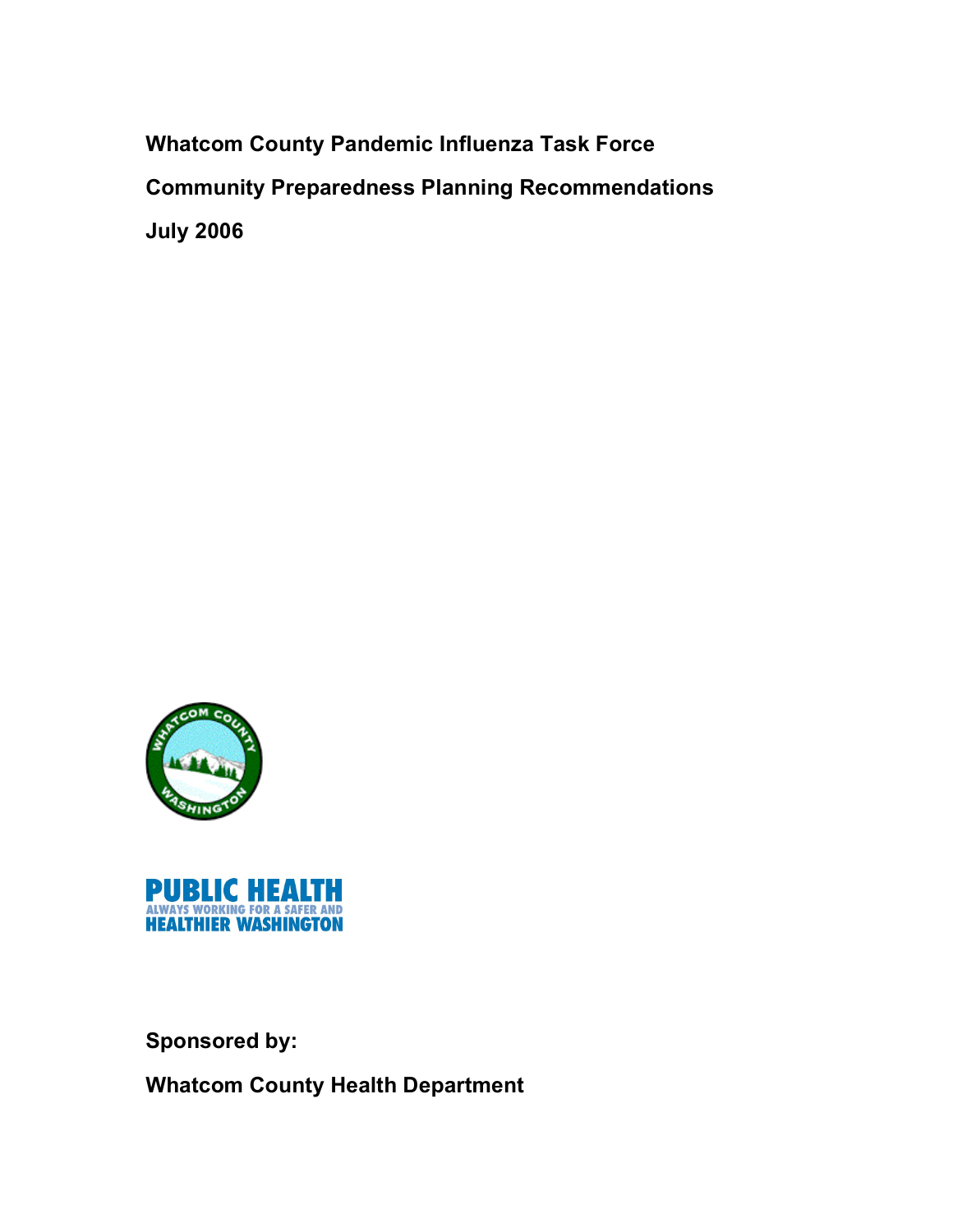**Whatcom County Pandemic Influenza Task Force Community Preparedness Planning Recommendations July 2006**





**Sponsored by:**

**Whatcom County Health Department**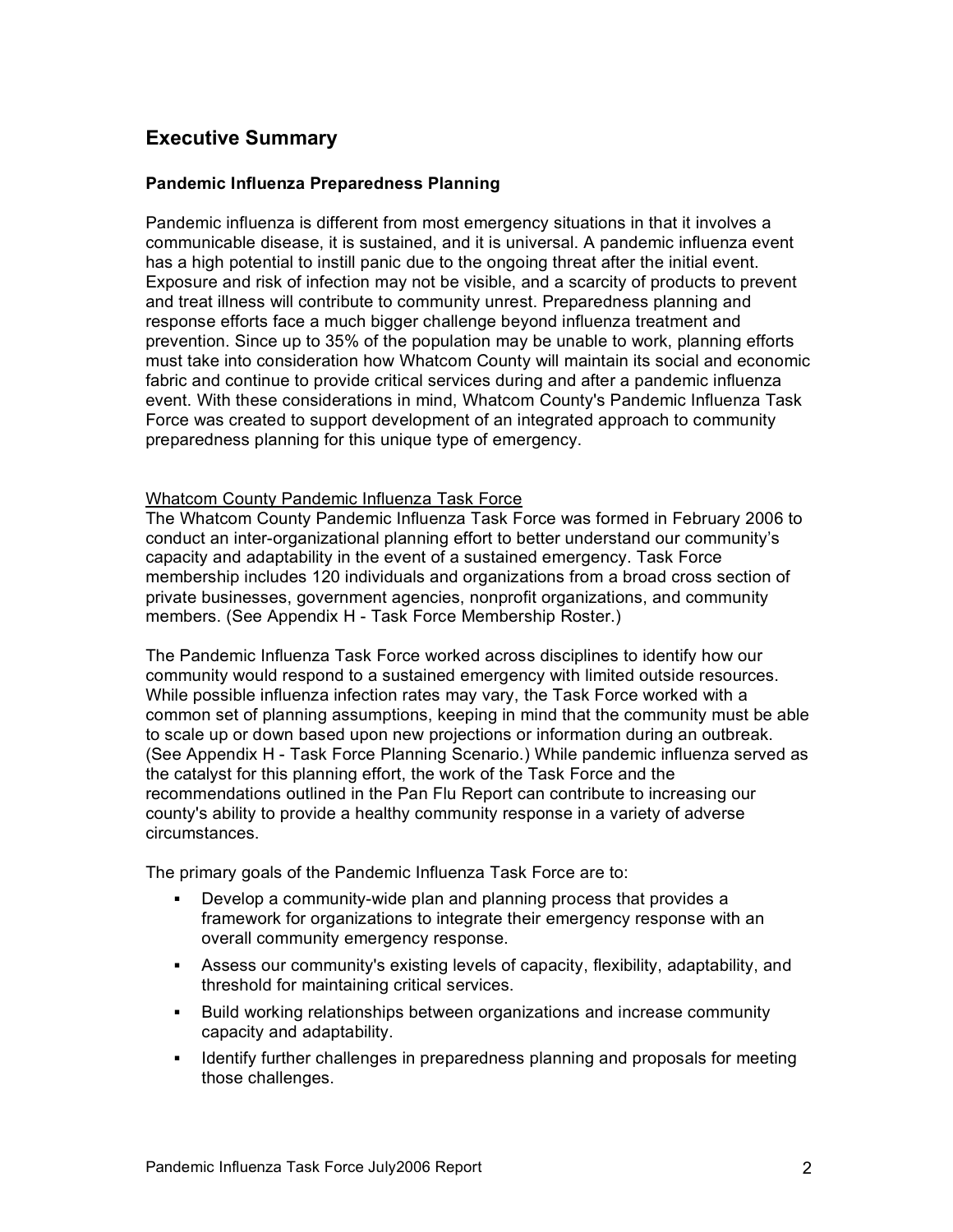# **Executive Summary**

#### **Pandemic Influenza Preparedness Planning**

Pandemic influenza is different from most emergency situations in that it involves a communicable disease, it is sustained, and it is universal. A pandemic influenza event has a high potential to instill panic due to the ongoing threat after the initial event. Exposure and risk of infection may not be visible, and a scarcity of products to prevent and treat illness will contribute to community unrest. Preparedness planning and response efforts face a much bigger challenge beyond influenza treatment and prevention. Since up to 35% of the population may be unable to work, planning efforts must take into consideration how Whatcom County will maintain its social and economic fabric and continue to provide critical services during and after a pandemic influenza event. With these considerations in mind, Whatcom County's Pandemic Influenza Task Force was created to support development of an integrated approach to community preparedness planning for this unique type of emergency.

#### Whatcom County Pandemic Influenza Task Force

The Whatcom County Pandemic Influenza Task Force was formed in February 2006 to conduct an inter-organizational planning effort to better understand our community's capacity and adaptability in the event of a sustained emergency. Task Force membership includes 120 individuals and organizations from a broad cross section of private businesses, government agencies, nonprofit organizations, and community members. (See Appendix H - Task Force Membership Roster.)

The Pandemic Influenza Task Force worked across disciplines to identify how our community would respond to a sustained emergency with limited outside resources. While possible influenza infection rates may vary, the Task Force worked with a common set of planning assumptions, keeping in mind that the community must be able to scale up or down based upon new projections or information during an outbreak. (See Appendix H - Task Force Planning Scenario.) While pandemic influenza served as the catalyst for this planning effort, the work of the Task Force and the recommendations outlined in the Pan Flu Report can contribute to increasing our county's ability to provide a healthy community response in a variety of adverse circumstances.

The primary goals of the Pandemic Influenza Task Force are to:

- Develop a community-wide plan and planning process that provides a framework for organizations to integrate their emergency response with an overall community emergency response.
- ! Assess our community's existing levels of capacity, flexibility, adaptability, and threshold for maintaining critical services.
- ! Build working relationships between organizations and increase community capacity and adaptability.
- ! Identify further challenges in preparedness planning and proposals for meeting those challenges.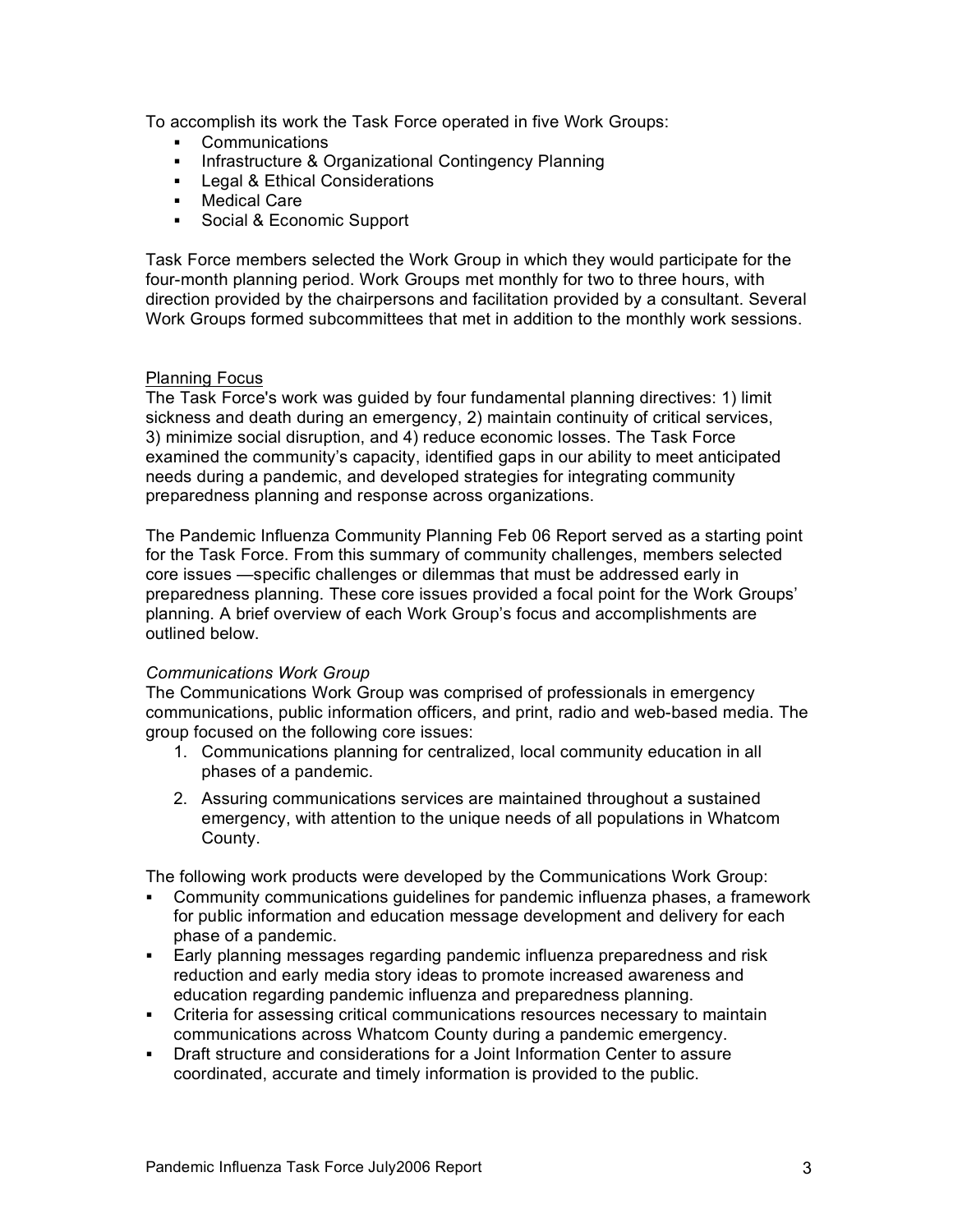To accomplish its work the Task Force operated in five Work Groups:

- ! Communications
- ! Infrastructure & Organizational Contingency Planning
- **EXECUTE:** Legal & Ethical Considerations
- ! Medical Care
- ! Social & Economic Support

Task Force members selected the Work Group in which they would participate for the four-month planning period. Work Groups met monthly for two to three hours, with direction provided by the chairpersons and facilitation provided by a consultant. Several Work Groups formed subcommittees that met in addition to the monthly work sessions.

# Planning Focus

The Task Force's work was guided by four fundamental planning directives: 1) limit sickness and death during an emergency, 2) maintain continuity of critical services, 3) minimize social disruption, and 4) reduce economic losses. The Task Force examined the community's capacity, identified gaps in our ability to meet anticipated needs during a pandemic, and developed strategies for integrating community preparedness planning and response across organizations.

The Pandemic Influenza Community Planning Feb 06 Report served as a starting point for the Task Force. From this summary of community challenges, members selected core issues —specific challenges or dilemmas that must be addressed early in preparedness planning. These core issues provided a focal point for the Work Groups' planning. A brief overview of each Work Group's focus and accomplishments are outlined below.

# *Communications Work Group*

The Communications Work Group was comprised of professionals in emergency communications, public information officers, and print, radio and web-based media. The group focused on the following core issues:

- 1. Communications planning for centralized, local community education in all phases of a pandemic.
- 2. Assuring communications services are maintained throughout a sustained emergency, with attention to the unique needs of all populations in Whatcom County.

The following work products were developed by the Communications Work Group:

- ! Community communications guidelines for pandemic influenza phases, a framework for public information and education message development and delivery for each phase of a pandemic.
- ! Early planning messages regarding pandemic influenza preparedness and risk reduction and early media story ideas to promote increased awareness and education regarding pandemic influenza and preparedness planning.
- ! Criteria for assessing critical communications resources necessary to maintain communications across Whatcom County during a pandemic emergency.
- ! Draft structure and considerations for a Joint Information Center to assure coordinated, accurate and timely information is provided to the public.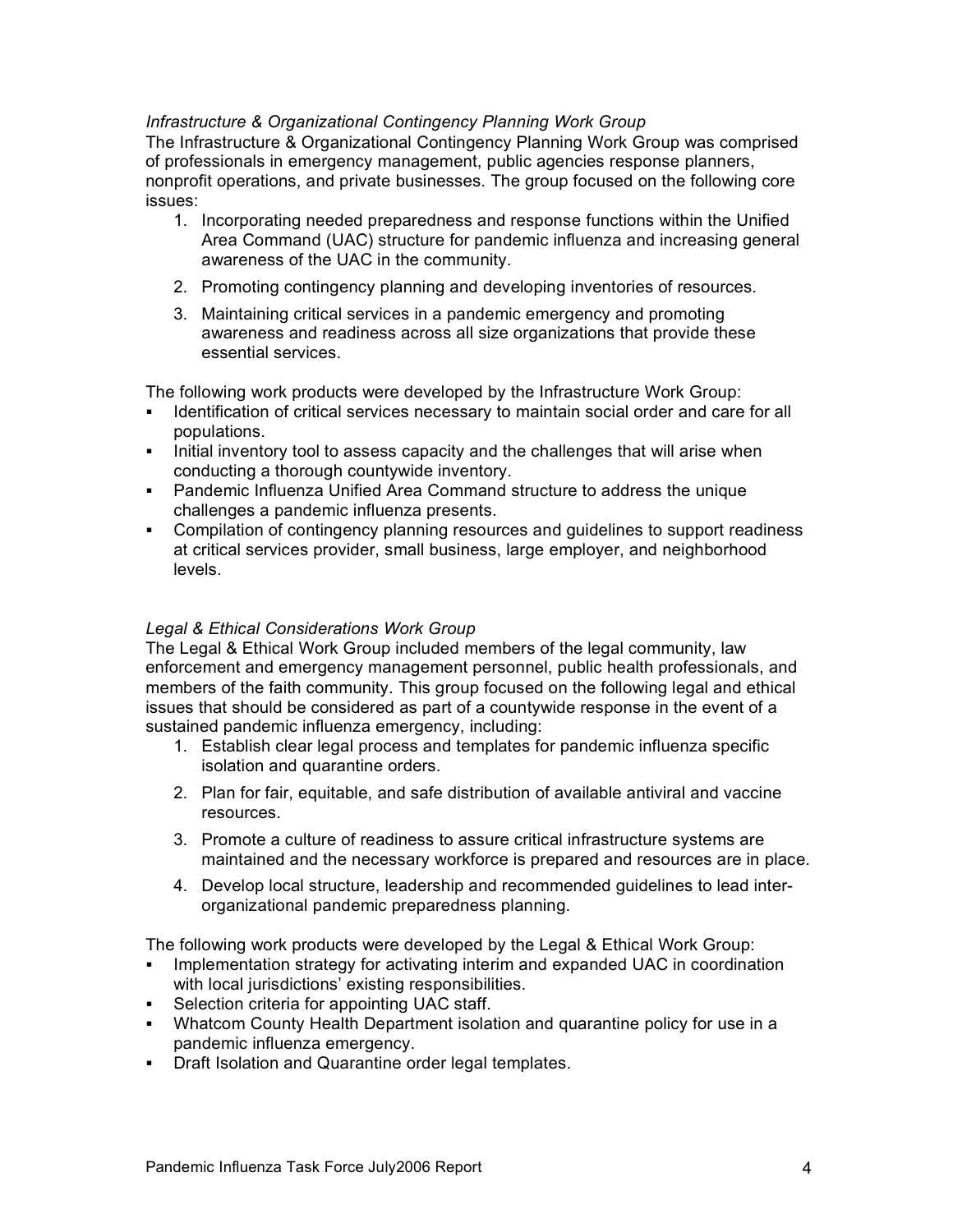# *Infrastructure & Organizational Contingency Planning Work Group*

The Infrastructure & Organizational Contingency Planning Work Group was comprised of professionals in emergency management, public agencies response planners, nonprofit operations, and private businesses. The group focused on the following core issues:

- 1. Incorporating needed preparedness and response functions within the Unified Area Command (UAC) structure for pandemic influenza and increasing general awareness of the UAC in the community.
- 2. Promoting contingency planning and developing inventories of resources.
- 3. Maintaining critical services in a pandemic emergency and promoting awareness and readiness across all size organizations that provide these essential services.

The following work products were developed by the Infrastructure Work Group:

- ! Identification of critical services necessary to maintain social order and care for all populations.
- ! Initial inventory tool to assess capacity and the challenges that will arise when conducting a thorough countywide inventory.
- ! Pandemic Influenza Unified Area Command structure to address the unique challenges a pandemic influenza presents.
- ! Compilation of contingency planning resources and guidelines to support readiness at critical services provider, small business, large employer, and neighborhood levels.

# *Legal & Ethical Considerations Work Group*

The Legal & Ethical Work Group included members of the legal community, law enforcement and emergency management personnel, public health professionals, and members of the faith community. This group focused on the following legal and ethical issues that should be considered as part of a countywide response in the event of a sustained pandemic influenza emergency, including:

- 1. Establish clear legal process and templates for pandemic influenza specific isolation and quarantine orders.
- 2. Plan for fair, equitable, and safe distribution of available antiviral and vaccine resources.
- 3. Promote a culture of readiness to assure critical infrastructure systems are maintained and the necessary workforce is prepared and resources are in place.
- 4. Develop local structure, leadership and recommended guidelines to lead interorganizational pandemic preparedness planning.

The following work products were developed by the Legal & Ethical Work Group:

- ! Implementation strategy for activating interim and expanded UAC in coordination with local jurisdictions' existing responsibilities.
- ! Selection criteria for appointing UAC staff.
- ! Whatcom County Health Department isolation and quarantine policy for use in a pandemic influenza emergency.
- **Draft Isolation and Quarantine order legal templates.**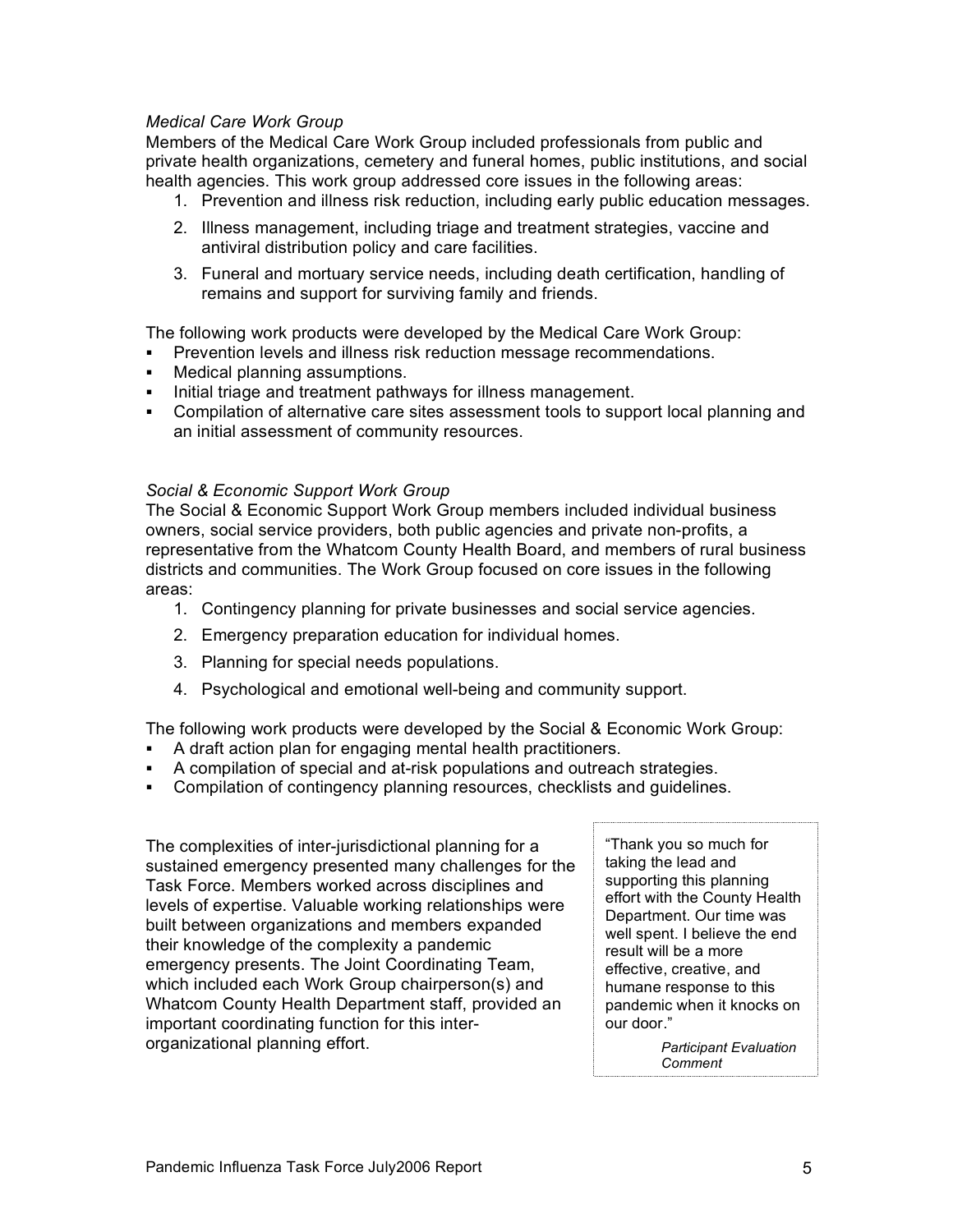#### *Medical Care Work Group*

Members of the Medical Care Work Group included professionals from public and private health organizations, cemetery and funeral homes, public institutions, and social health agencies. This work group addressed core issues in the following areas:

- 1. Prevention and illness risk reduction, including early public education messages.
- 2. Illness management, including triage and treatment strategies, vaccine and antiviral distribution policy and care facilities.
- 3. Funeral and mortuary service needs, including death certification, handling of remains and support for surviving family and friends.

The following work products were developed by the Medical Care Work Group:

- ! Prevention levels and illness risk reduction message recommendations.
- ! Medical planning assumptions.
- . Initial triage and treatment pathways for illness management.
- ! Compilation of alternative care sites assessment tools to support local planning and an initial assessment of community resources.

#### *Social & Economic Support Work Group*

The Social & Economic Support Work Group members included individual business owners, social service providers, both public agencies and private non-profits, a representative from the Whatcom County Health Board, and members of rural business districts and communities. The Work Group focused on core issues in the following areas:

- 1. Contingency planning for private businesses and social service agencies.
- 2. Emergency preparation education for individual homes.
- 3. Planning for special needs populations.
- 4. Psychological and emotional well-being and community support.

The following work products were developed by the Social & Economic Work Group:

- ! A draft action plan for engaging mental health practitioners.
- ! A compilation of special and at-risk populations and outreach strategies.
- ! Compilation of contingency planning resources, checklists and guidelines.

The complexities of inter-jurisdictional planning for a sustained emergency presented many challenges for the Task Force. Members worked across disciplines and levels of expertise. Valuable working relationships were built between organizations and members expanded their knowledge of the complexity a pandemic emergency presents. The Joint Coordinating Team, which included each Work Group chairperson(s) and Whatcom County Health Department staff, provided an important coordinating function for this interorganizational planning effort.

"Thank you so much for taking the lead and supporting this planning effort with the County Health Department. Our time was well spent. I believe the end result will be a more effective, creative, and humane response to this pandemic when it knocks on our door."

> *Participant Evaluation Comment*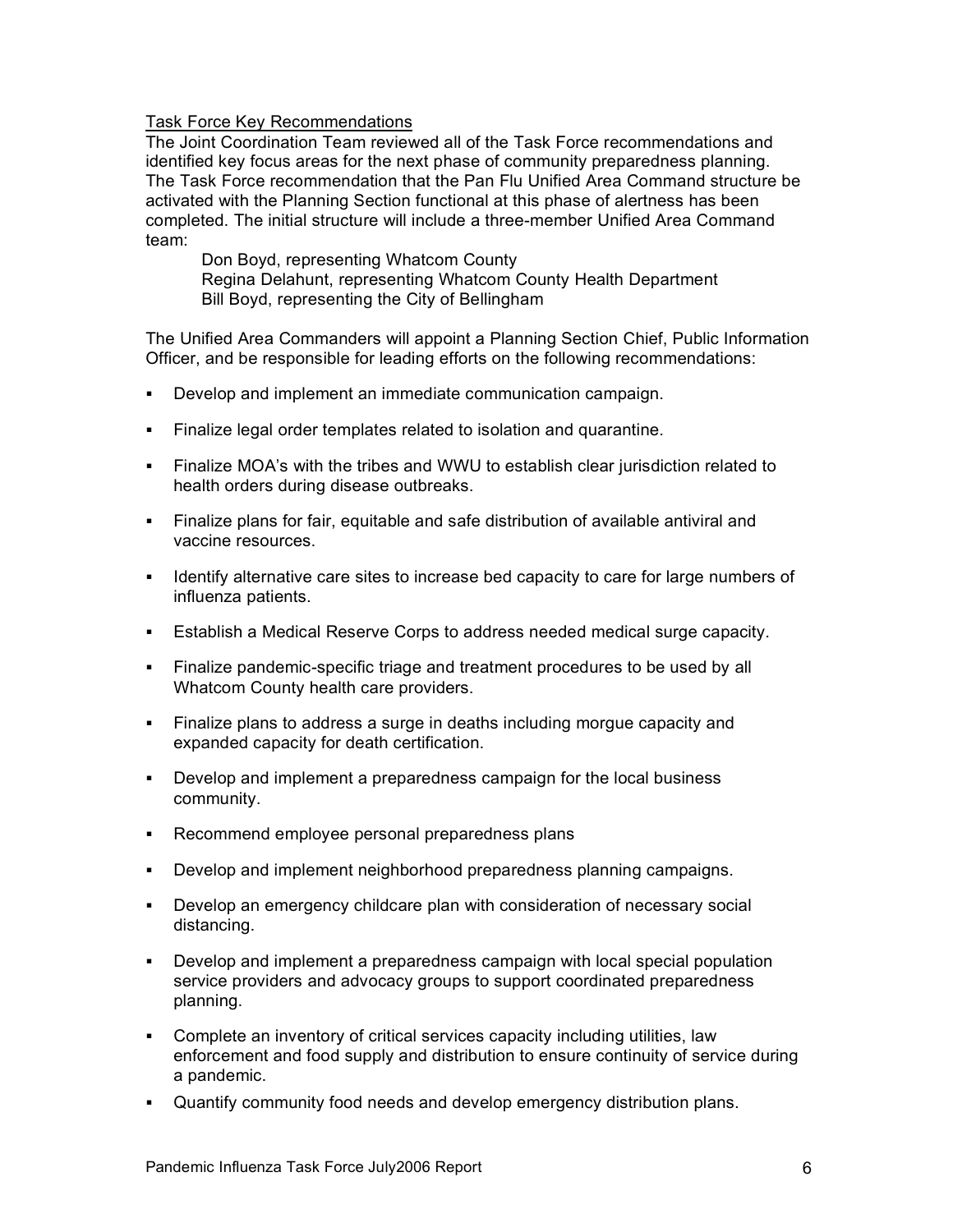#### Task Force Key Recommendations

The Joint Coordination Team reviewed all of the Task Force recommendations and identified key focus areas for the next phase of community preparedness planning. The Task Force recommendation that the Pan Flu Unified Area Command structure be activated with the Planning Section functional at this phase of alertness has been completed. The initial structure will include a three-member Unified Area Command team:

Don Boyd, representing Whatcom County Regina Delahunt, representing Whatcom County Health Department Bill Boyd, representing the City of Bellingham

The Unified Area Commanders will appoint a Planning Section Chief, Public Information Officer, and be responsible for leading efforts on the following recommendations:

- ! Develop and implement an immediate communication campaign.
- ! Finalize legal order templates related to isolation and quarantine.
- ! Finalize MOA's with the tribes and WWU to establish clear jurisdiction related to health orders during disease outbreaks.
- ! Finalize plans for fair, equitable and safe distribution of available antiviral and vaccine resources.
- ! Identify alternative care sites to increase bed capacity to care for large numbers of influenza patients.
- ! Establish a Medical Reserve Corps to address needed medical surge capacity.
- ! Finalize pandemic-specific triage and treatment procedures to be used by all Whatcom County health care providers.
- ! Finalize plans to address a surge in deaths including morgue capacity and expanded capacity for death certification.
- ! Develop and implement a preparedness campaign for the local business community.
- ! Recommend employee personal preparedness plans
- ! Develop and implement neighborhood preparedness planning campaigns.
- ! Develop an emergency childcare plan with consideration of necessary social distancing.
- ! Develop and implement a preparedness campaign with local special population service providers and advocacy groups to support coordinated preparedness planning.
- ! Complete an inventory of critical services capacity including utilities, law enforcement and food supply and distribution to ensure continuity of service during a pandemic.
- ! Quantify community food needs and develop emergency distribution plans.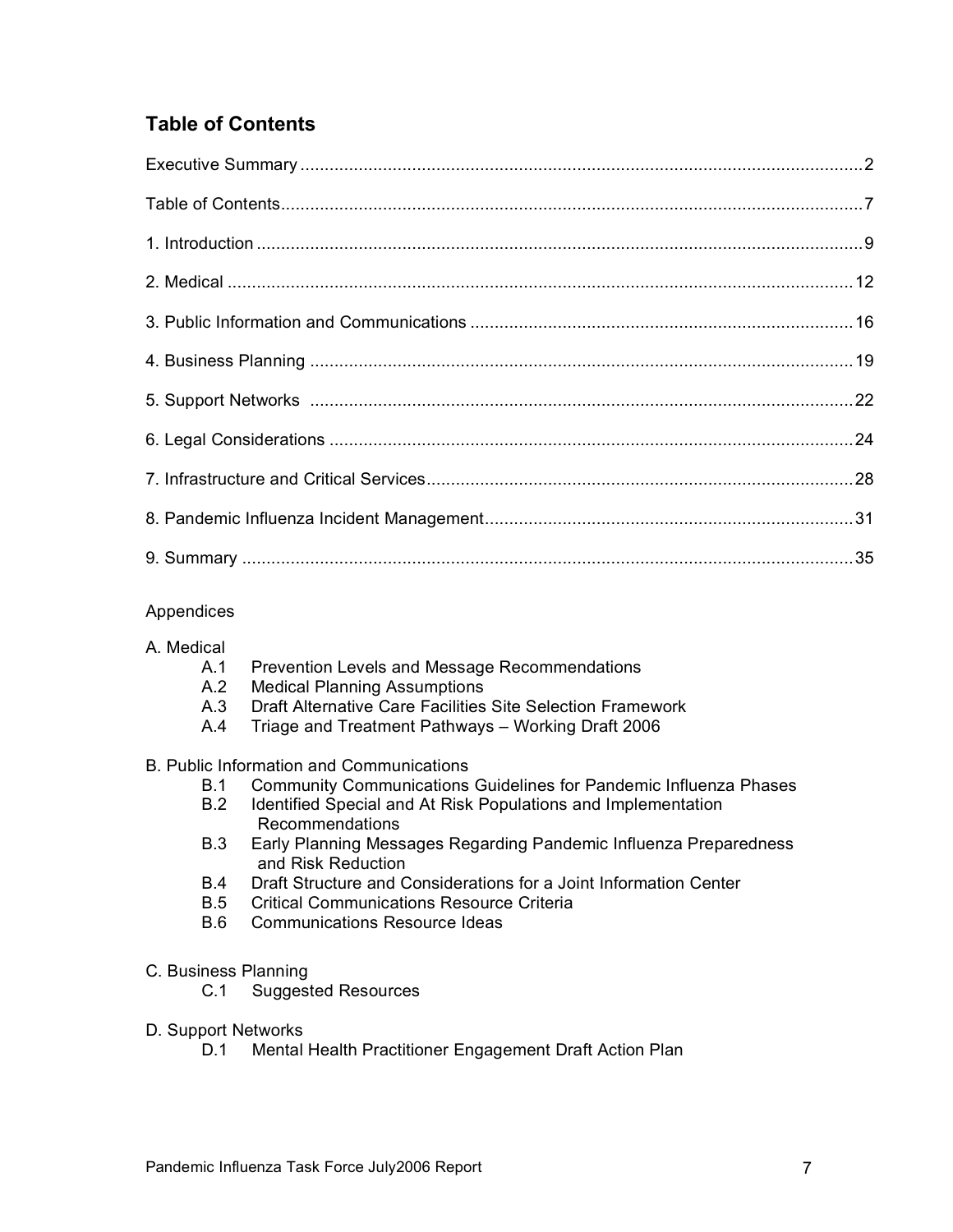# **Table of Contents**

# Appendices

# A. Medical

- A.1 Prevention Levels and Message Recommendations
- A.2 Medical Planning Assumptions
- A.3 Draft Alternative Care Facilities Site Selection Framework
- A.4 Triage and Treatment Pathways Working Draft 2006

#### B. Public Information and Communications

- B.1 Community Communications Guidelines for Pandemic Influenza Phases
- B.2 Identified Special and At Risk Populations and Implementation Recommendations
- B.3 Early Planning Messages Regarding Pandemic Influenza Preparedness and Risk Reduction
- B.4 Draft Structure and Considerations for a Joint Information Center
- B.5 Critical Communications Resource Criteria
- B.6 Communications Resource Ideas

#### C. Business Planning

- C.1 Suggested Resources
- D. Support Networks
	- D.1 Mental Health Practitioner Engagement Draft Action Plan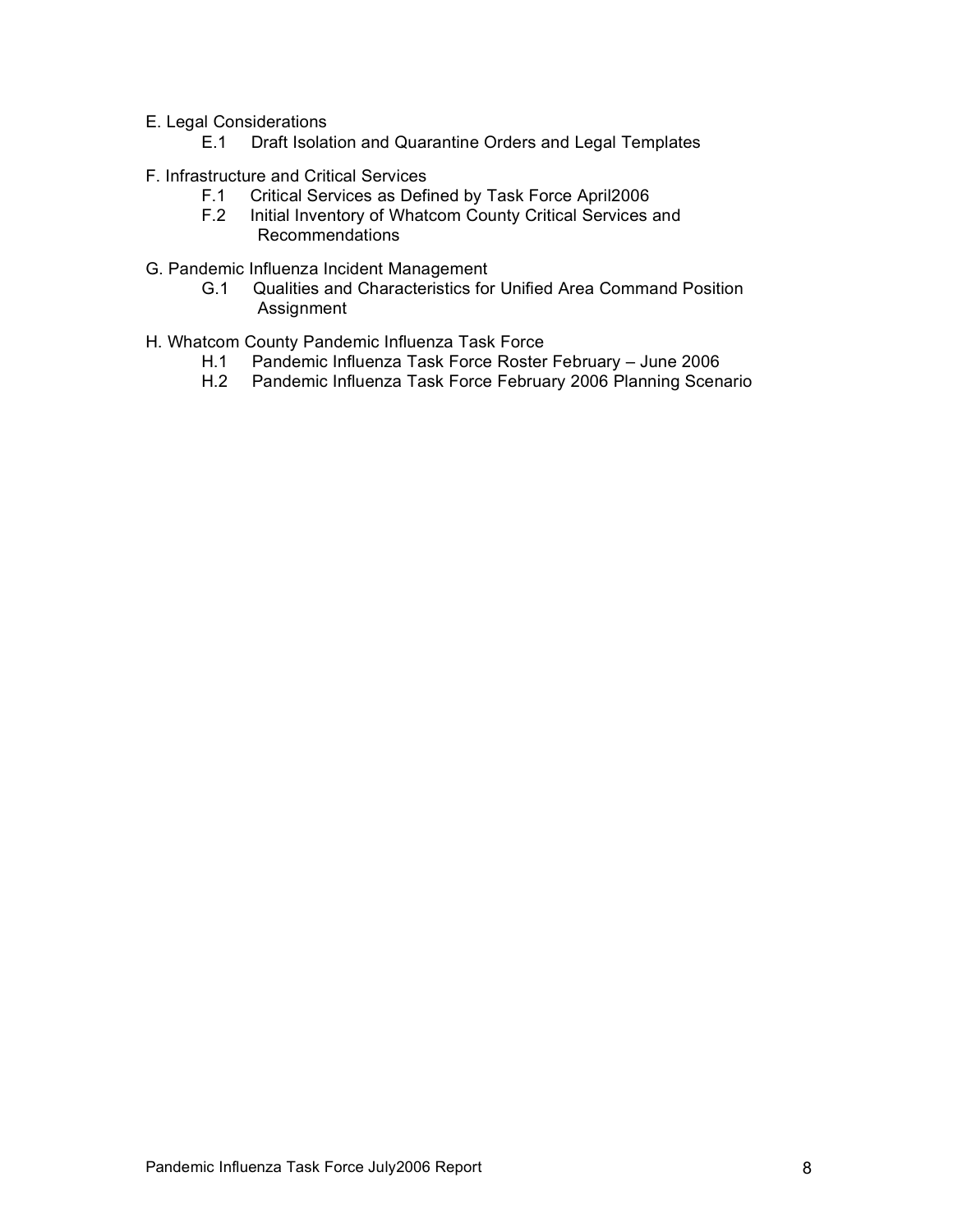- E. Legal Considerations
	- E.1 Draft Isolation and Quarantine Orders and Legal Templates
- F. Infrastructure and Critical Services
	- F.1 Critical Services as Defined by Task Force April2006<br>F.2 Initial Inventory of Whatcom County Critical Services
	- Initial Inventory of Whatcom County Critical Services and Recommendations
- G. Pandemic Influenza Incident Management
	- G.1 Qualities and Characteristics for Unified Area Command Position Assignment
- H. Whatcom County Pandemic Influenza Task Force
	- H.1 Pandemic Influenza Task Force Roster February June 2006
	- H.2 Pandemic Influenza Task Force February 2006 Planning Scenario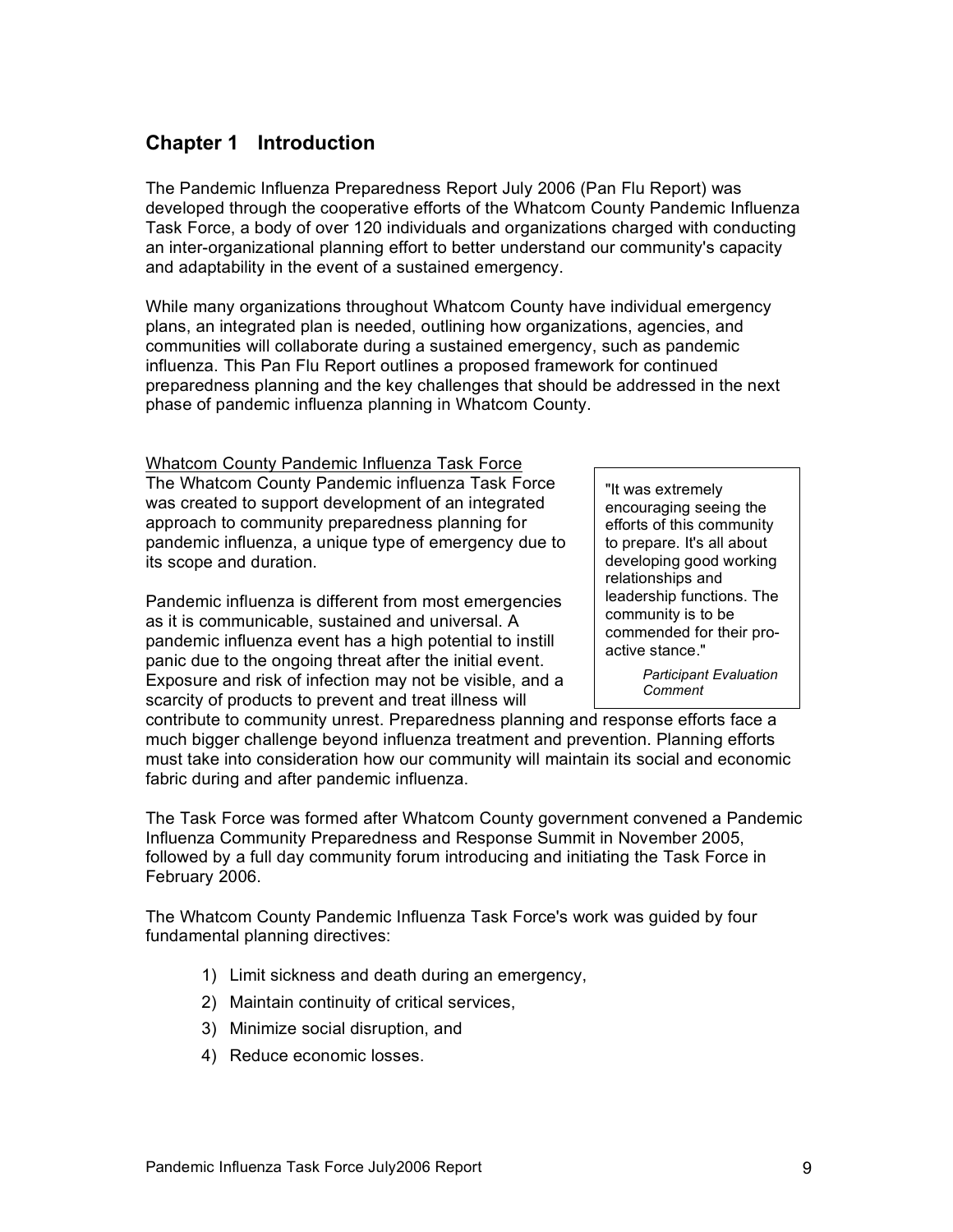# **Chapter 1 Introduction**

The Pandemic Influenza Preparedness Report July 2006 (Pan Flu Report) was developed through the cooperative efforts of the Whatcom County Pandemic Influenza Task Force, a body of over 120 individuals and organizations charged with conducting an inter-organizational planning effort to better understand our community's capacity and adaptability in the event of a sustained emergency.

While many organizations throughout Whatcom County have individual emergency plans, an integrated plan is needed, outlining how organizations, agencies, and communities will collaborate during a sustained emergency, such as pandemic influenza. This Pan Flu Report outlines a proposed framework for continued preparedness planning and the key challenges that should be addressed in the next phase of pandemic influenza planning in Whatcom County.

Whatcom County Pandemic Influenza Task Force The Whatcom County Pandemic influenza Task Force was created to support development of an integrated approach to community preparedness planning for pandemic influenza, a unique type of emergency due to its scope and duration.

Pandemic influenza is different from most emergencies as it is communicable, sustained and universal. A pandemic influenza event has a high potential to instill panic due to the ongoing threat after the initial event. Exposure and risk of infection may not be visible, and a scarcity of products to prevent and treat illness will

"It was extremely encouraging seeing the efforts of this community to prepare. It's all about developing good working relationships and leadership functions. The community is to be commended for their proactive stance."

> *Participant Evaluation Comment*

contribute to community unrest. Preparedness planning and response efforts face a much bigger challenge beyond influenza treatment and prevention. Planning efforts must take into consideration how our community will maintain its social and economic fabric during and after pandemic influenza.

The Task Force was formed after Whatcom County government convened a Pandemic Influenza Community Preparedness and Response Summit in November 2005, followed by a full day community forum introducing and initiating the Task Force in February 2006.

The Whatcom County Pandemic Influenza Task Force's work was guided by four fundamental planning directives:

- 1) Limit sickness and death during an emergency,
- 2) Maintain continuity of critical services,
- 3) Minimize social disruption, and
- 4) Reduce economic losses.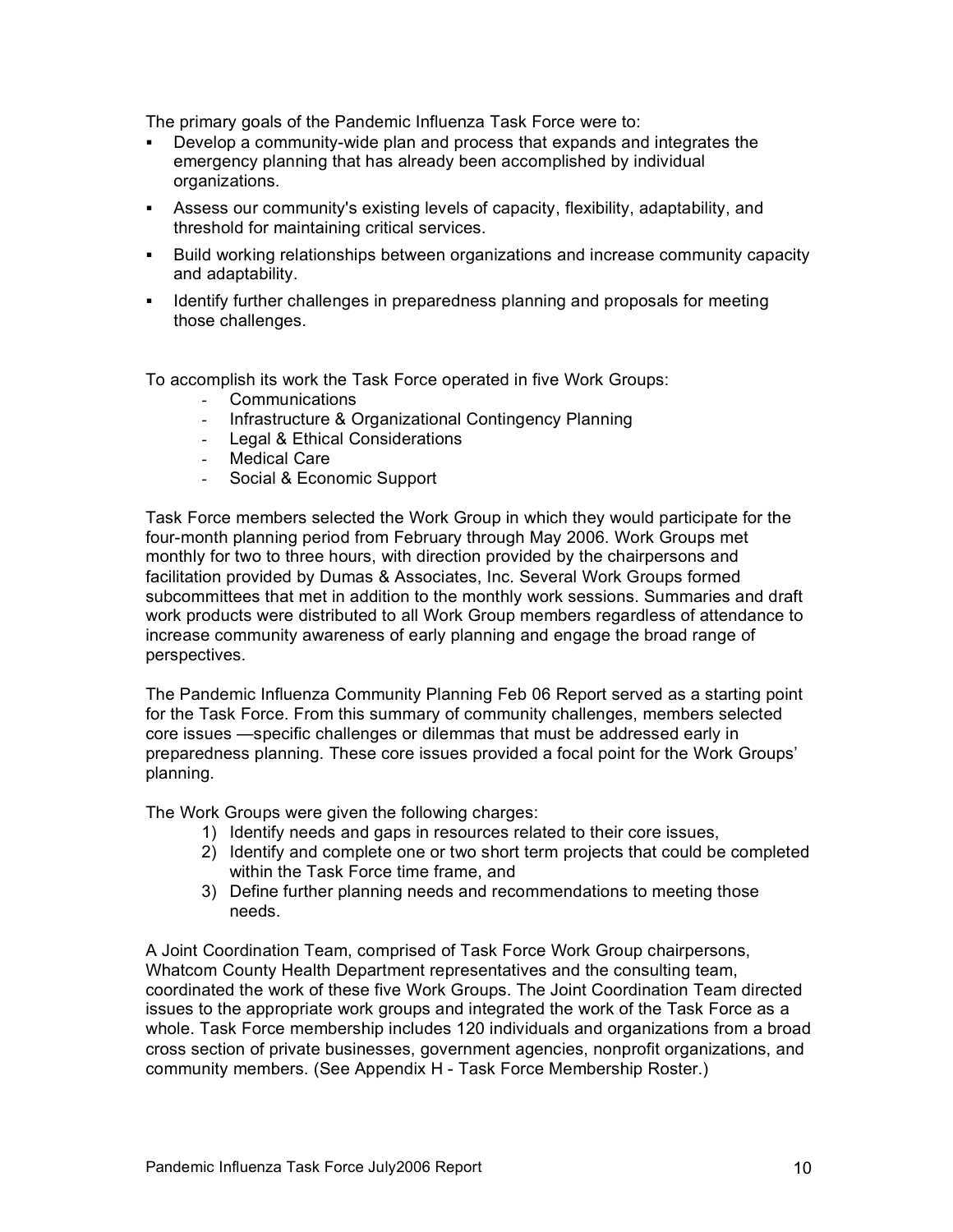The primary goals of the Pandemic Influenza Task Force were to:

- ! Develop a community-wide plan and process that expands and integrates the emergency planning that has already been accomplished by individual organizations.
- ! Assess our community's existing levels of capacity, flexibility, adaptability, and threshold for maintaining critical services.
- ! Build working relationships between organizations and increase community capacity and adaptability.
- ! Identify further challenges in preparedness planning and proposals for meeting those challenges.

To accomplish its work the Task Force operated in five Work Groups:

- Communications
- Infrastructure & Organizational Contingency Planning
- Legal & Ethical Considerations
- Medical Care
- Social & Economic Support

Task Force members selected the Work Group in which they would participate for the four-month planning period from February through May 2006. Work Groups met monthly for two to three hours, with direction provided by the chairpersons and facilitation provided by Dumas & Associates, Inc. Several Work Groups formed subcommittees that met in addition to the monthly work sessions. Summaries and draft work products were distributed to all Work Group members regardless of attendance to increase community awareness of early planning and engage the broad range of perspectives.

The Pandemic Influenza Community Planning Feb 06 Report served as a starting point for the Task Force. From this summary of community challenges, members selected core issues —specific challenges or dilemmas that must be addressed early in preparedness planning. These core issues provided a focal point for the Work Groups' planning.

The Work Groups were given the following charges:

- 1) Identify needs and gaps in resources related to their core issues,
- 2) Identify and complete one or two short term projects that could be completed within the Task Force time frame, and
- 3) Define further planning needs and recommendations to meeting those needs.

A Joint Coordination Team, comprised of Task Force Work Group chairpersons, Whatcom County Health Department representatives and the consulting team, coordinated the work of these five Work Groups. The Joint Coordination Team directed issues to the appropriate work groups and integrated the work of the Task Force as a whole. Task Force membership includes 120 individuals and organizations from a broad cross section of private businesses, government agencies, nonprofit organizations, and community members. (See Appendix H - Task Force Membership Roster.)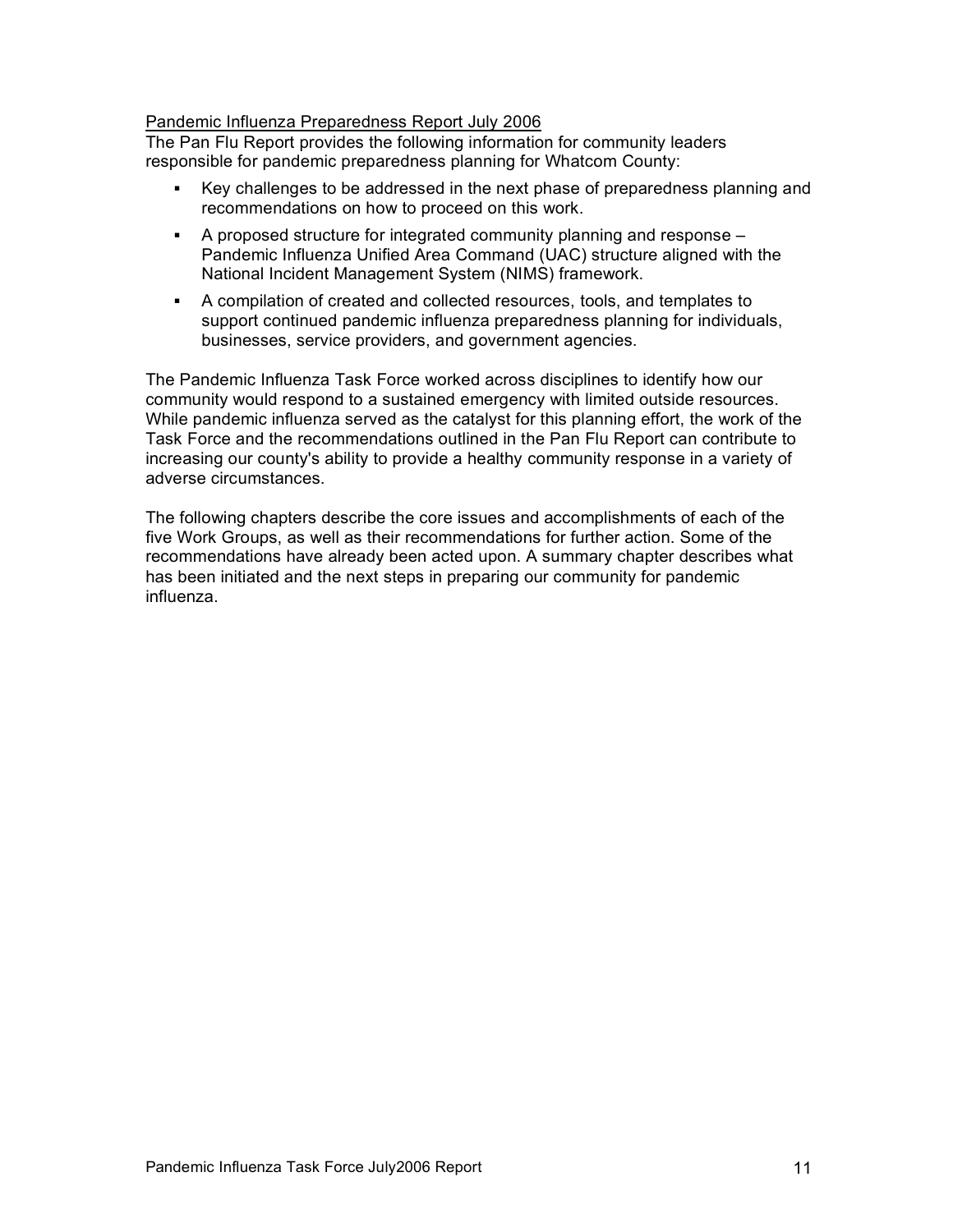#### Pandemic Influenza Preparedness Report July 2006

The Pan Flu Report provides the following information for community leaders responsible for pandemic preparedness planning for Whatcom County:

- ! Key challenges to be addressed in the next phase of preparedness planning and recommendations on how to proceed on this work.
- ! A proposed structure for integrated community planning and response Pandemic Influenza Unified Area Command (UAC) structure aligned with the National Incident Management System (NIMS) framework.
- ! A compilation of created and collected resources, tools, and templates to support continued pandemic influenza preparedness planning for individuals, businesses, service providers, and government agencies.

The Pandemic Influenza Task Force worked across disciplines to identify how our community would respond to a sustained emergency with limited outside resources. While pandemic influenza served as the catalyst for this planning effort, the work of the Task Force and the recommendations outlined in the Pan Flu Report can contribute to increasing our county's ability to provide a healthy community response in a variety of adverse circumstances.

The following chapters describe the core issues and accomplishments of each of the five Work Groups, as well as their recommendations for further action. Some of the recommendations have already been acted upon. A summary chapter describes what has been initiated and the next steps in preparing our community for pandemic influenza.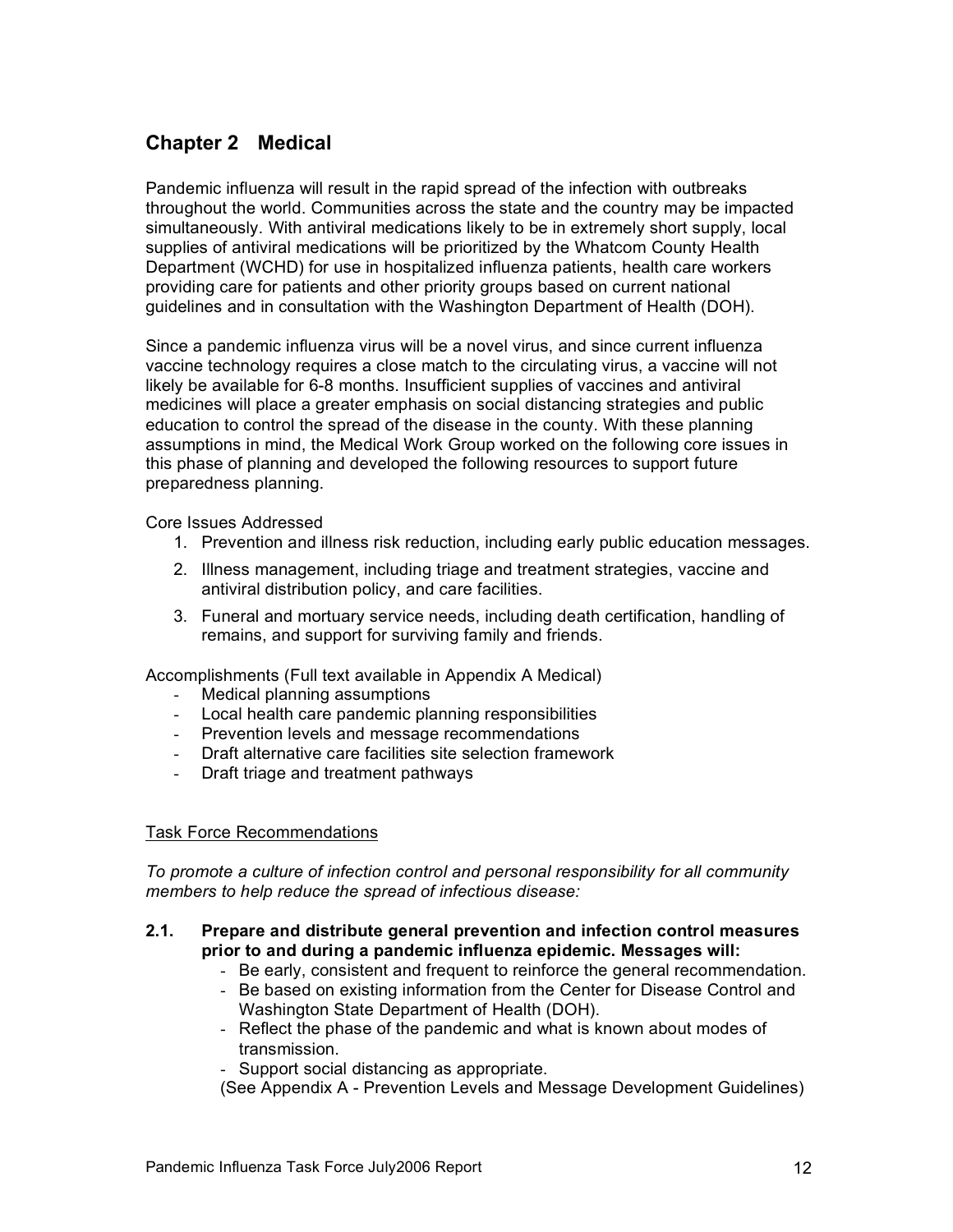# **Chapter 2 Medical**

Pandemic influenza will result in the rapid spread of the infection with outbreaks throughout the world. Communities across the state and the country may be impacted simultaneously. With antiviral medications likely to be in extremely short supply, local supplies of antiviral medications will be prioritized by the Whatcom County Health Department (WCHD) for use in hospitalized influenza patients, health care workers providing care for patients and other priority groups based on current national guidelines and in consultation with the Washington Department of Health (DOH).

Since a pandemic influenza virus will be a novel virus, and since current influenza vaccine technology requires a close match to the circulating virus, a vaccine will not likely be available for 6-8 months. Insufficient supplies of vaccines and antiviral medicines will place a greater emphasis on social distancing strategies and public education to control the spread of the disease in the county. With these planning assumptions in mind, the Medical Work Group worked on the following core issues in this phase of planning and developed the following resources to support future preparedness planning.

Core Issues Addressed

- 1. Prevention and illness risk reduction, including early public education messages.
- 2. Illness management, including triage and treatment strategies, vaccine and antiviral distribution policy, and care facilities.
- 3. Funeral and mortuary service needs, including death certification, handling of remains, and support for surviving family and friends.

Accomplishments (Full text available in Appendix A Medical)

- Medical planning assumptions
- Local health care pandemic planning responsibilities
- Prevention levels and message recommendations
- Draft alternative care facilities site selection framework
- Draft triage and treatment pathways

# Task Force Recommendations

*To promote a culture of infection control and personal responsibility for all community members to help reduce the spread of infectious disease:*

- **2.1. Prepare and distribute general prevention and infection control measures prior to and during a pandemic influenza epidemic. Messages will:**
	- Be early, consistent and frequent to reinforce the general recommendation.
	- Be based on existing information from the Center for Disease Control and Washington State Department of Health (DOH).
	- Reflect the phase of the pandemic and what is known about modes of transmission.
	- Support social distancing as appropriate.

(See Appendix A - Prevention Levels and Message Development Guidelines)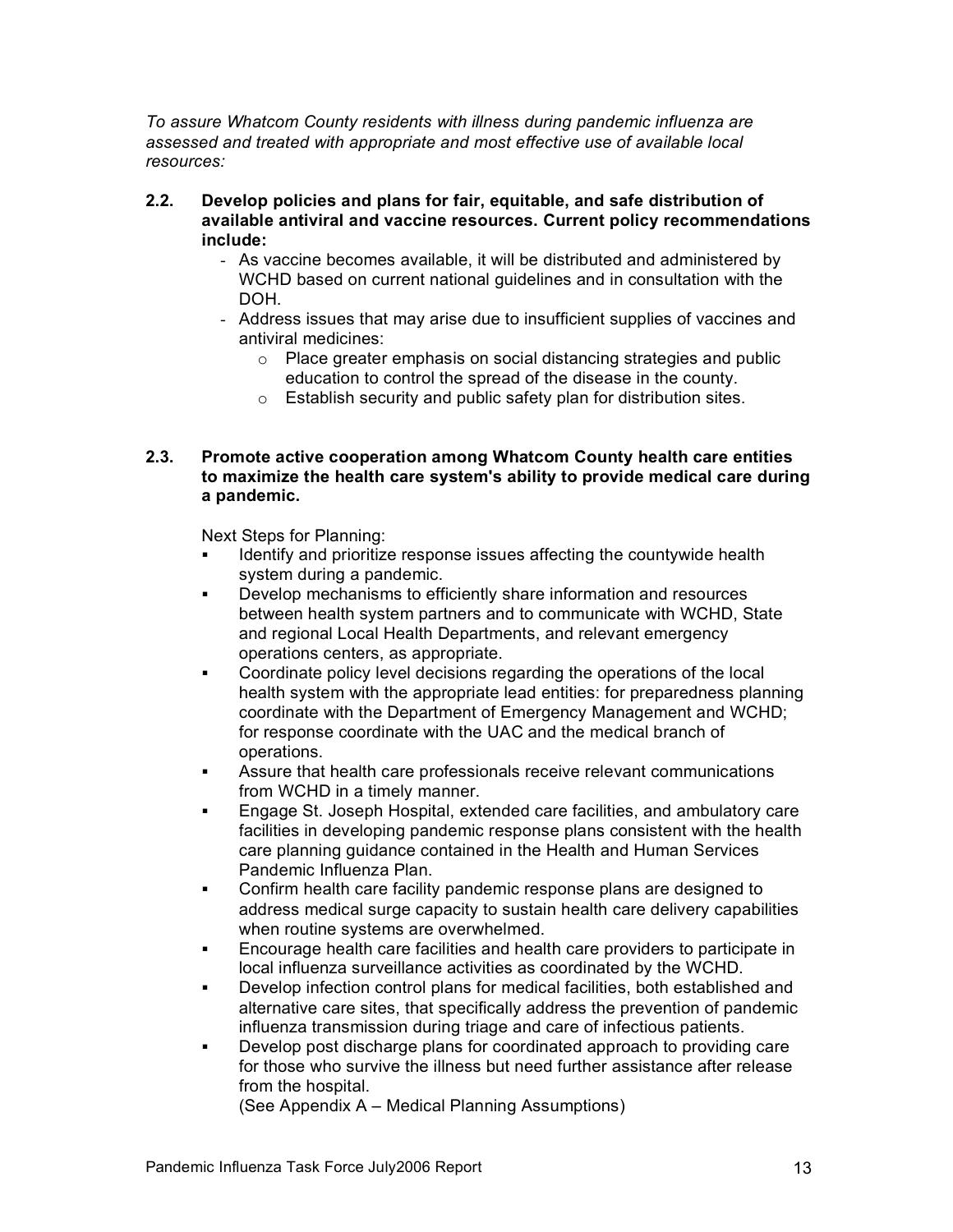*To assure Whatcom County residents with illness during pandemic influenza are assessed and treated with appropriate and most effective use of available local resources:*

- **2.2. Develop policies and plans for fair, equitable, and safe distribution of available antiviral and vaccine resources. Current policy recommendations include:**
	- As vaccine becomes available, it will be distributed and administered by WCHD based on current national guidelines and in consultation with the DOH.
	- Address issues that may arise due to insufficient supplies of vaccines and antiviral medicines:
		- o Place greater emphasis on social distancing strategies and public education to control the spread of the disease in the county.
		- o Establish security and public safety plan for distribution sites.

#### **2.3. Promote active cooperation among Whatcom County health care entities to maximize the health care system's ability to provide medical care during a pandemic.**

Next Steps for Planning:

- Identify and prioritize response issues affecting the countywide health system during a pandemic.
- ! Develop mechanisms to efficiently share information and resources between health system partners and to communicate with WCHD, State and regional Local Health Departments, and relevant emergency operations centers, as appropriate.
- ! Coordinate policy level decisions regarding the operations of the local health system with the appropriate lead entities: for preparedness planning coordinate with the Department of Emergency Management and WCHD; for response coordinate with the UAC and the medical branch of operations.
- ! Assure that health care professionals receive relevant communications from WCHD in a timely manner.
- ! Engage St. Joseph Hospital, extended care facilities, and ambulatory care facilities in developing pandemic response plans consistent with the health care planning guidance contained in the Health and Human Services Pandemic Influenza Plan.
- ! Confirm health care facility pandemic response plans are designed to address medical surge capacity to sustain health care delivery capabilities when routine systems are overwhelmed.
- ! Encourage health care facilities and health care providers to participate in local influenza surveillance activities as coordinated by the WCHD.
- ! Develop infection control plans for medical facilities, both established and alternative care sites, that specifically address the prevention of pandemic influenza transmission during triage and care of infectious patients.
- ! Develop post discharge plans for coordinated approach to providing care for those who survive the illness but need further assistance after release from the hospital.

(See Appendix A – Medical Planning Assumptions)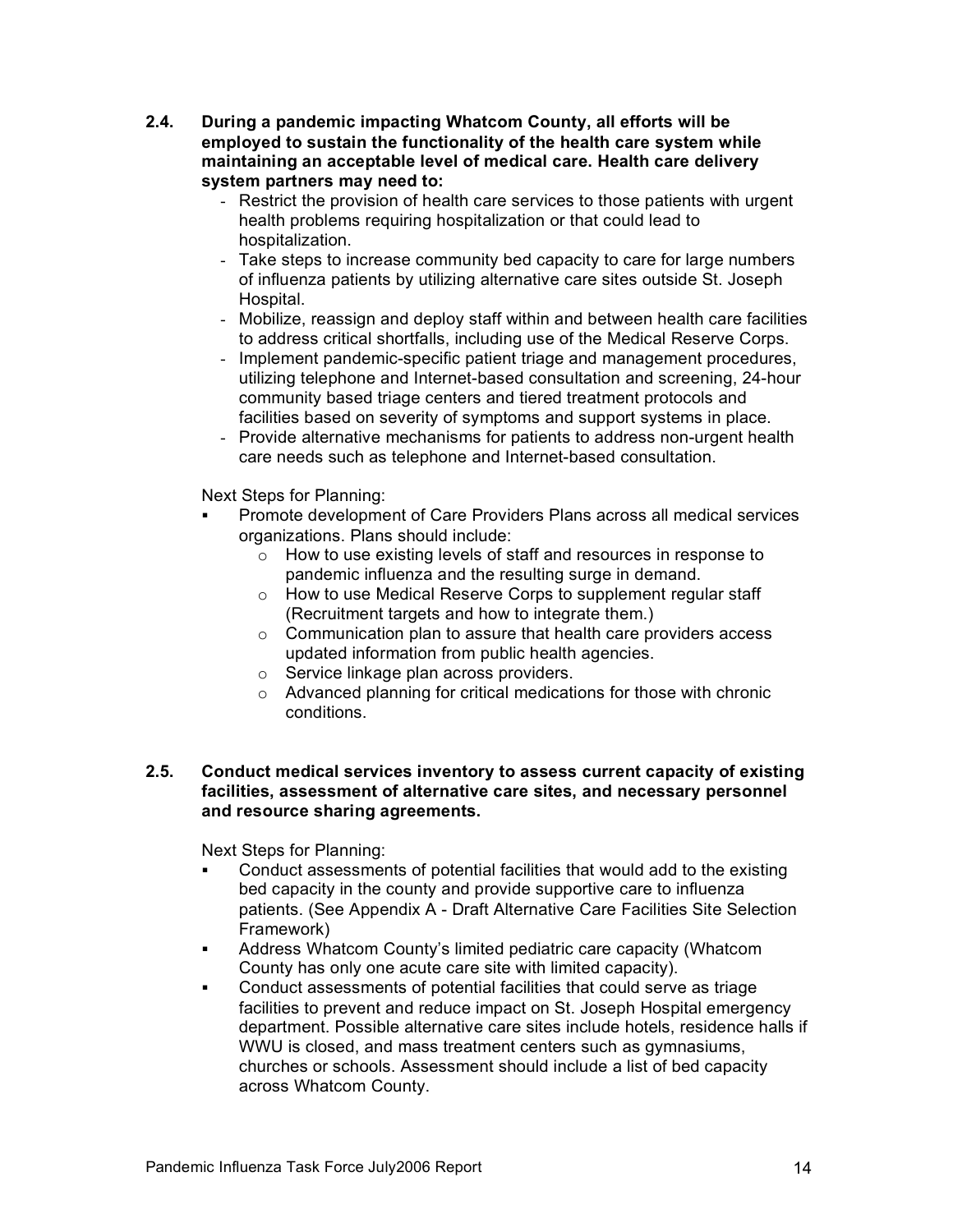- **2.4. During a pandemic impacting Whatcom County, all efforts will be employed to sustain the functionality of the health care system while maintaining an acceptable level of medical care. Health care delivery system partners may need to:**
	- Restrict the provision of health care services to those patients with urgent health problems requiring hospitalization or that could lead to hospitalization.
	- Take steps to increase community bed capacity to care for large numbers of influenza patients by utilizing alternative care sites outside St. Joseph Hospital.
	- Mobilize, reassign and deploy staff within and between health care facilities to address critical shortfalls, including use of the Medical Reserve Corps.
	- Implement pandemic-specific patient triage and management procedures, utilizing telephone and Internet-based consultation and screening, 24-hour community based triage centers and tiered treatment protocols and facilities based on severity of symptoms and support systems in place.
	- Provide alternative mechanisms for patients to address non-urgent health care needs such as telephone and Internet-based consultation.

Next Steps for Planning:

- ! Promote development of Care Providers Plans across all medical services organizations. Plans should include:
	- o How to use existing levels of staff and resources in response to pandemic influenza and the resulting surge in demand.
	- o How to use Medical Reserve Corps to supplement regular staff (Recruitment targets and how to integrate them.)
	- o Communication plan to assure that health care providers access updated information from public health agencies.
	- o Service linkage plan across providers.
	- o Advanced planning for critical medications for those with chronic conditions.

#### **2.5. Conduct medical services inventory to assess current capacity of existing facilities, assessment of alternative care sites, and necessary personnel and resource sharing agreements.**

- ! Conduct assessments of potential facilities that would add to the existing bed capacity in the county and provide supportive care to influenza patients. (See Appendix A - Draft Alternative Care Facilities Site Selection Framework)
- ! Address Whatcom County's limited pediatric care capacity (Whatcom County has only one acute care site with limited capacity).
- ! Conduct assessments of potential facilities that could serve as triage facilities to prevent and reduce impact on St. Joseph Hospital emergency department. Possible alternative care sites include hotels, residence halls if WWU is closed, and mass treatment centers such as gymnasiums, churches or schools. Assessment should include a list of bed capacity across Whatcom County.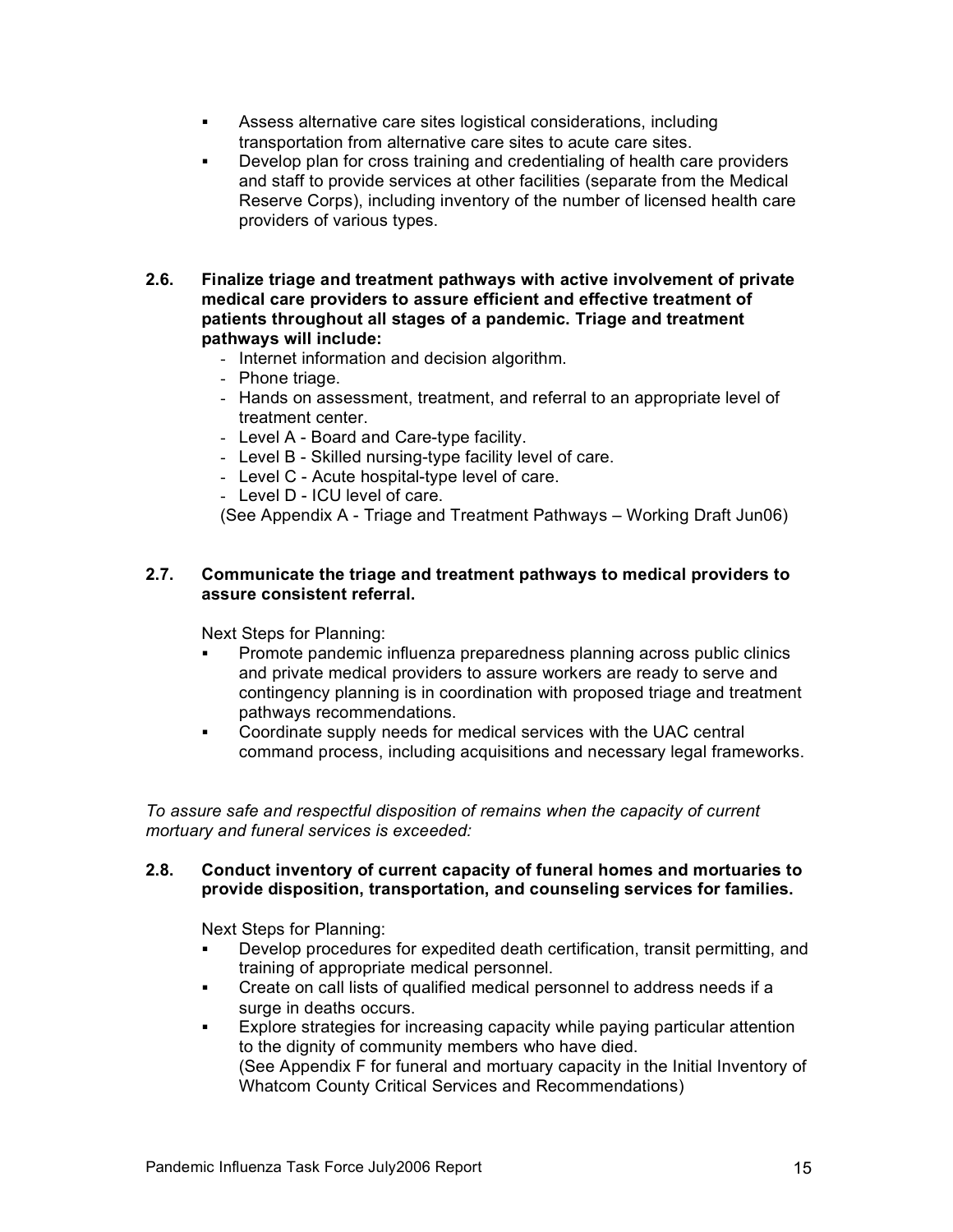- ! Assess alternative care sites logistical considerations, including transportation from alternative care sites to acute care sites.
- Develop plan for cross training and credentialing of health care providers and staff to provide services at other facilities (separate from the Medical Reserve Corps), including inventory of the number of licensed health care providers of various types.
- **2.6. Finalize triage and treatment pathways with active involvement of private medical care providers to assure efficient and effective treatment of patients throughout all stages of a pandemic. Triage and treatment pathways will include:** 
	- Internet information and decision algorithm.
	- Phone triage.
	- Hands on assessment, treatment, and referral to an appropriate level of treatment center.
	- Level A Board and Care-type facility.
	- Level B Skilled nursing-type facility level of care.
	- Level C Acute hospital-type level of care.
	- Level D ICU level of care.

(See Appendix A - Triage and Treatment Pathways – Working Draft Jun06)

#### **2.7. Communicate the triage and treatment pathways to medical providers to assure consistent referral.**

Next Steps for Planning:

- Promote pandemic influenza preparedness planning across public clinics and private medical providers to assure workers are ready to serve and contingency planning is in coordination with proposed triage and treatment pathways recommendations.
- ! Coordinate supply needs for medical services with the UAC central command process, including acquisitions and necessary legal frameworks.

*To assure safe and respectful disposition of remains when the capacity of current mortuary and funeral services is exceeded:*

#### **2.8. Conduct inventory of current capacity of funeral homes and mortuaries to provide disposition, transportation, and counseling services for families.**

- Develop procedures for expedited death certification, transit permitting, and training of appropriate medical personnel.
- ! Create on call lists of qualified medical personnel to address needs if a surge in deaths occurs.
- Explore strategies for increasing capacity while paying particular attention to the dignity of community members who have died. (See Appendix F for funeral and mortuary capacity in the Initial Inventory of Whatcom County Critical Services and Recommendations)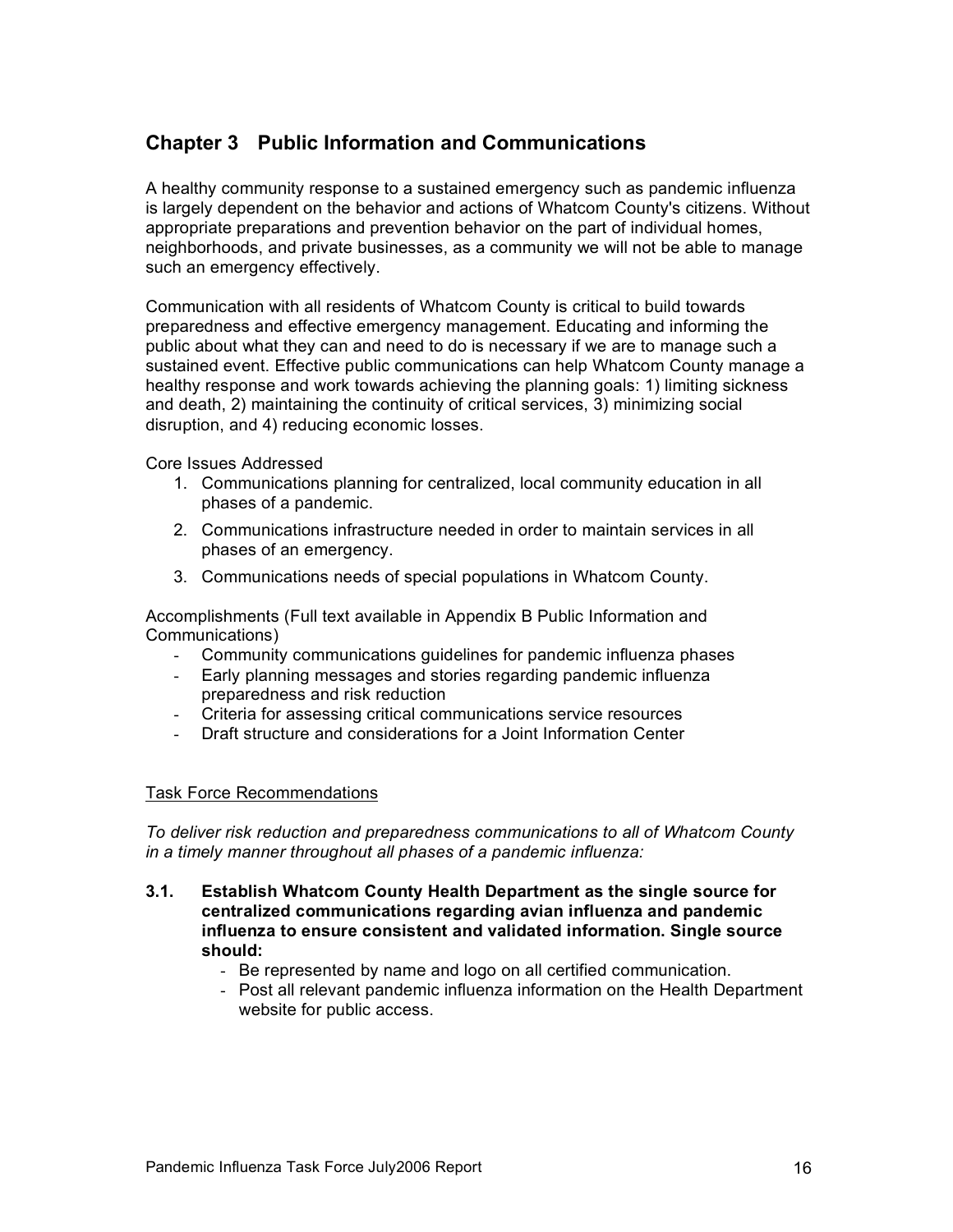# **Chapter 3 Public Information and Communications**

A healthy community response to a sustained emergency such as pandemic influenza is largely dependent on the behavior and actions of Whatcom County's citizens. Without appropriate preparations and prevention behavior on the part of individual homes, neighborhoods, and private businesses, as a community we will not be able to manage such an emergency effectively.

Communication with all residents of Whatcom County is critical to build towards preparedness and effective emergency management. Educating and informing the public about what they can and need to do is necessary if we are to manage such a sustained event. Effective public communications can help Whatcom County manage a healthy response and work towards achieving the planning goals: 1) limiting sickness and death, 2) maintaining the continuity of critical services, 3) minimizing social disruption, and 4) reducing economic losses.

Core Issues Addressed

- 1. Communications planning for centralized, local community education in all phases of a pandemic.
- 2. Communications infrastructure needed in order to maintain services in all phases of an emergency.
- 3. Communications needs of special populations in Whatcom County.

Accomplishments (Full text available in Appendix B Public Information and Communications)

- Community communications guidelines for pandemic influenza phases
- Early planning messages and stories regarding pandemic influenza preparedness and risk reduction
- Criteria for assessing critical communications service resources
- Draft structure and considerations for a Joint Information Center

# Task Force Recommendations

*To deliver risk reduction and preparedness communications to all of Whatcom County in a timely manner throughout all phases of a pandemic influenza:*

- **3.1. Establish Whatcom County Health Department as the single source for centralized communications regarding avian influenza and pandemic influenza to ensure consistent and validated information. Single source should:** 
	- Be represented by name and logo on all certified communication.
	- Post all relevant pandemic influenza information on the Health Department website for public access.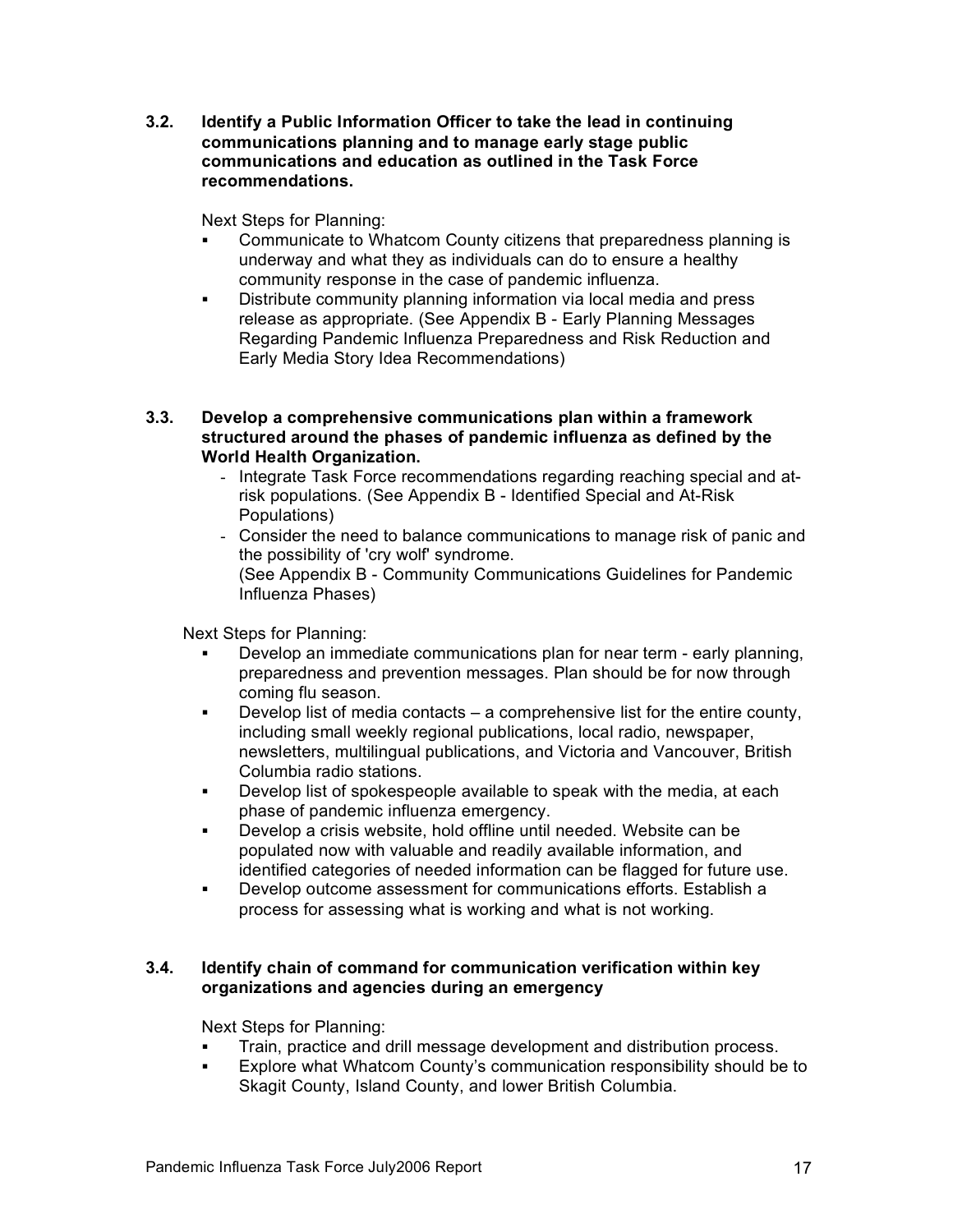**3.2. Identify a Public Information Officer to take the lead in continuing communications planning and to manage early stage public communications and education as outlined in the Task Force recommendations.**

Next Steps for Planning:

- Communicate to Whatcom County citizens that preparedness planning is underway and what they as individuals can do to ensure a healthy community response in the case of pandemic influenza.
- ! Distribute community planning information via local media and press release as appropriate. (See Appendix B - Early Planning Messages Regarding Pandemic Influenza Preparedness and Risk Reduction and Early Media Story Idea Recommendations)
- **3.3. Develop a comprehensive communications plan within a framework structured around the phases of pandemic influenza as defined by the World Health Organization.**
	- Integrate Task Force recommendations regarding reaching special and atrisk populations. (See Appendix B - Identified Special and At-Risk Populations)
	- Consider the need to balance communications to manage risk of panic and the possibility of 'cry wolf' syndrome. (See Appendix B - Community Communications Guidelines for Pandemic Influenza Phases)

Next Steps for Planning:

- Develop an immediate communications plan for near term early planning, preparedness and prevention messages. Plan should be for now through coming flu season.
- ! Develop list of media contacts a comprehensive list for the entire county, including small weekly regional publications, local radio, newspaper, newsletters, multilingual publications, and Victoria and Vancouver, British Columbia radio stations.
- ! Develop list of spokespeople available to speak with the media, at each phase of pandemic influenza emergency.
- ! Develop a crisis website, hold offline until needed. Website can be populated now with valuable and readily available information, and identified categories of needed information can be flagged for future use.
- ! Develop outcome assessment for communications efforts. Establish a process for assessing what is working and what is not working.

# **3.4. Identify chain of command for communication verification within key organizations and agencies during an emergency**

- ! Train, practice and drill message development and distribution process.
- Explore what Whatcom County's communication responsibility should be to Skagit County, Island County, and lower British Columbia.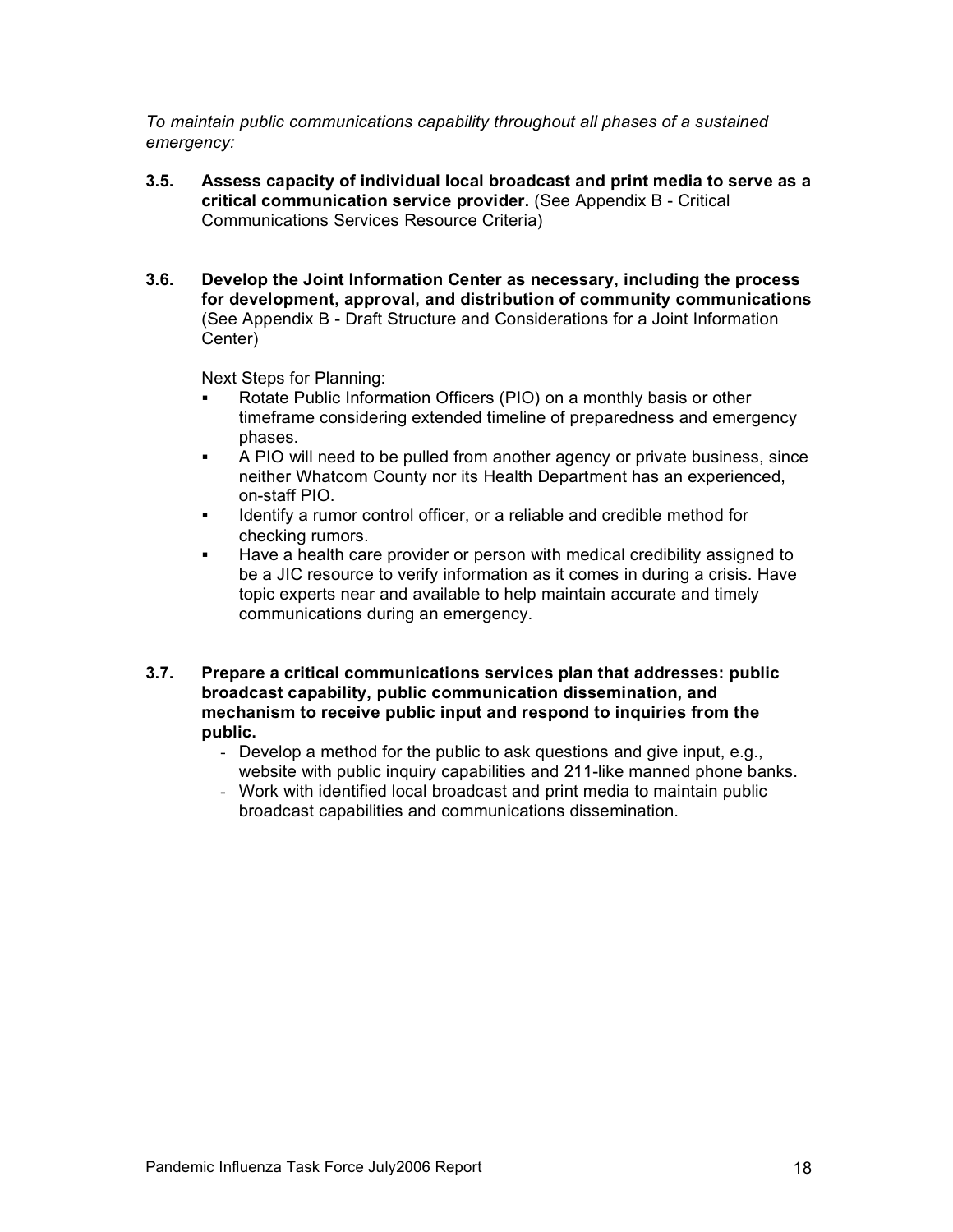*To maintain public communications capability throughout all phases of a sustained emergency:*

- **3.5. Assess capacity of individual local broadcast and print media to serve as a critical communication service provider.** (See Appendix B - Critical Communications Services Resource Criteria)
- **3.6. Develop the Joint Information Center as necessary, including the process for development, approval, and distribution of community communications**  (See Appendix B - Draft Structure and Considerations for a Joint Information Center)

- Rotate Public Information Officers (PIO) on a monthly basis or other timeframe considering extended timeline of preparedness and emergency phases.
- ! A PIO will need to be pulled from another agency or private business, since neither Whatcom County nor its Health Department has an experienced, on-staff PIO.
- ! Identify a rumor control officer, or a reliable and credible method for checking rumors.
- Have a health care provider or person with medical credibility assigned to be a JIC resource to verify information as it comes in during a crisis. Have topic experts near and available to help maintain accurate and timely communications during an emergency.
- **3.7. Prepare a critical communications services plan that addresses: public broadcast capability, public communication dissemination, and mechanism to receive public input and respond to inquiries from the public.**
	- Develop a method for the public to ask questions and give input, e.g., website with public inquiry capabilities and 211-like manned phone banks.
	- Work with identified local broadcast and print media to maintain public broadcast capabilities and communications dissemination.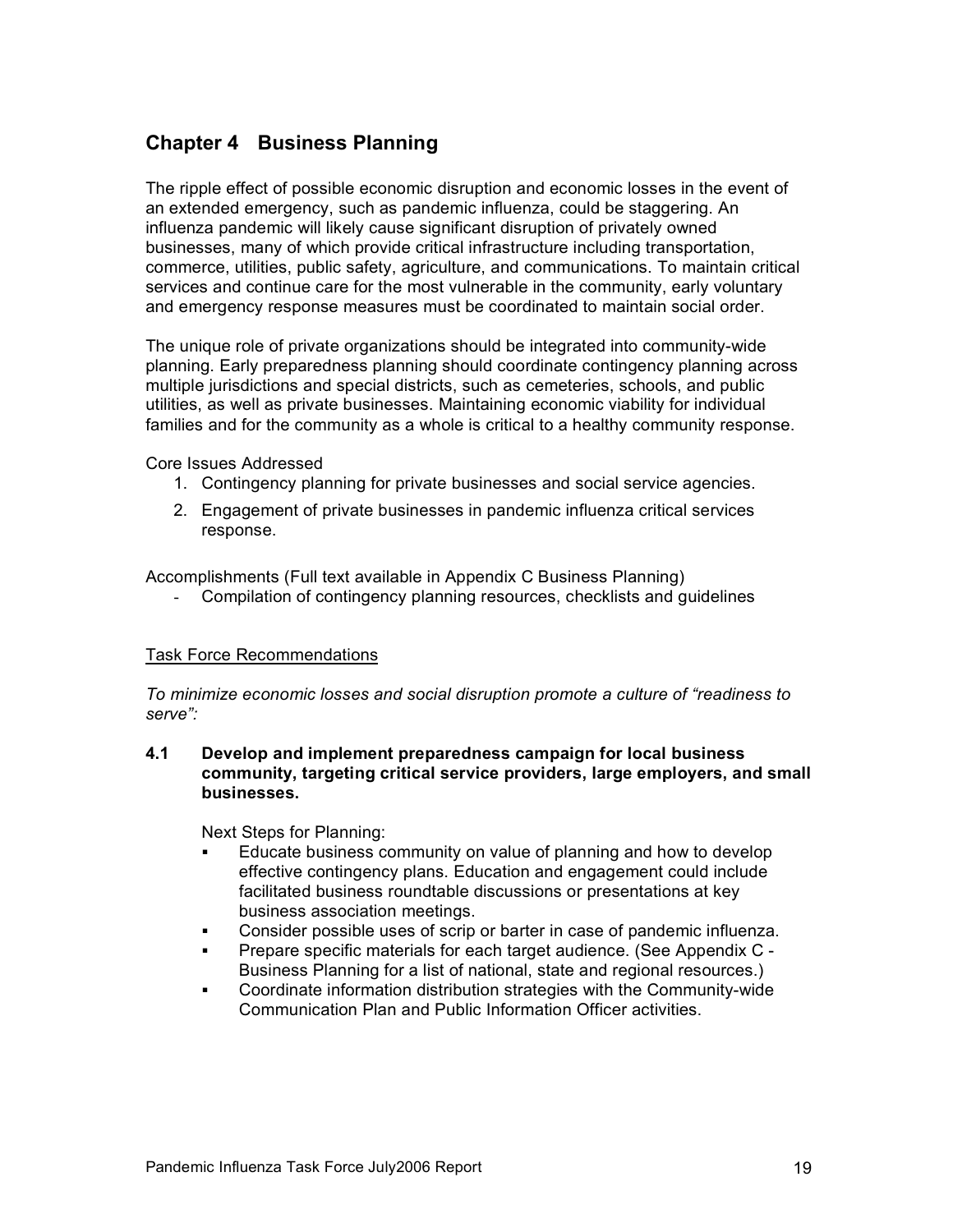# **Chapter 4 Business Planning**

The ripple effect of possible economic disruption and economic losses in the event of an extended emergency, such as pandemic influenza, could be staggering. An influenza pandemic will likely cause significant disruption of privately owned businesses, many of which provide critical infrastructure including transportation, commerce, utilities, public safety, agriculture, and communications. To maintain critical services and continue care for the most vulnerable in the community, early voluntary and emergency response measures must be coordinated to maintain social order.

The unique role of private organizations should be integrated into community-wide planning. Early preparedness planning should coordinate contingency planning across multiple jurisdictions and special districts, such as cemeteries, schools, and public utilities, as well as private businesses. Maintaining economic viability for individual families and for the community as a whole is critical to a healthy community response.

Core Issues Addressed

- 1. Contingency planning for private businesses and social service agencies.
- 2. Engagement of private businesses in pandemic influenza critical services response.

Accomplishments (Full text available in Appendix C Business Planning)

Compilation of contingency planning resources, checklists and guidelines

#### Task Force Recommendations

*To minimize economic losses and social disruption promote a culture of "readiness to serve":*

**4.1 Develop and implement preparedness campaign for local business community, targeting critical service providers, large employers, and small businesses.**

- Educate business community on value of planning and how to develop effective contingency plans. Education and engagement could include facilitated business roundtable discussions or presentations at key business association meetings.
- ! Consider possible uses of scrip or barter in case of pandemic influenza.
- ! Prepare specific materials for each target audience. (See Appendix C Business Planning for a list of national, state and regional resources.)
- ! Coordinate information distribution strategies with the Community-wide Communication Plan and Public Information Officer activities.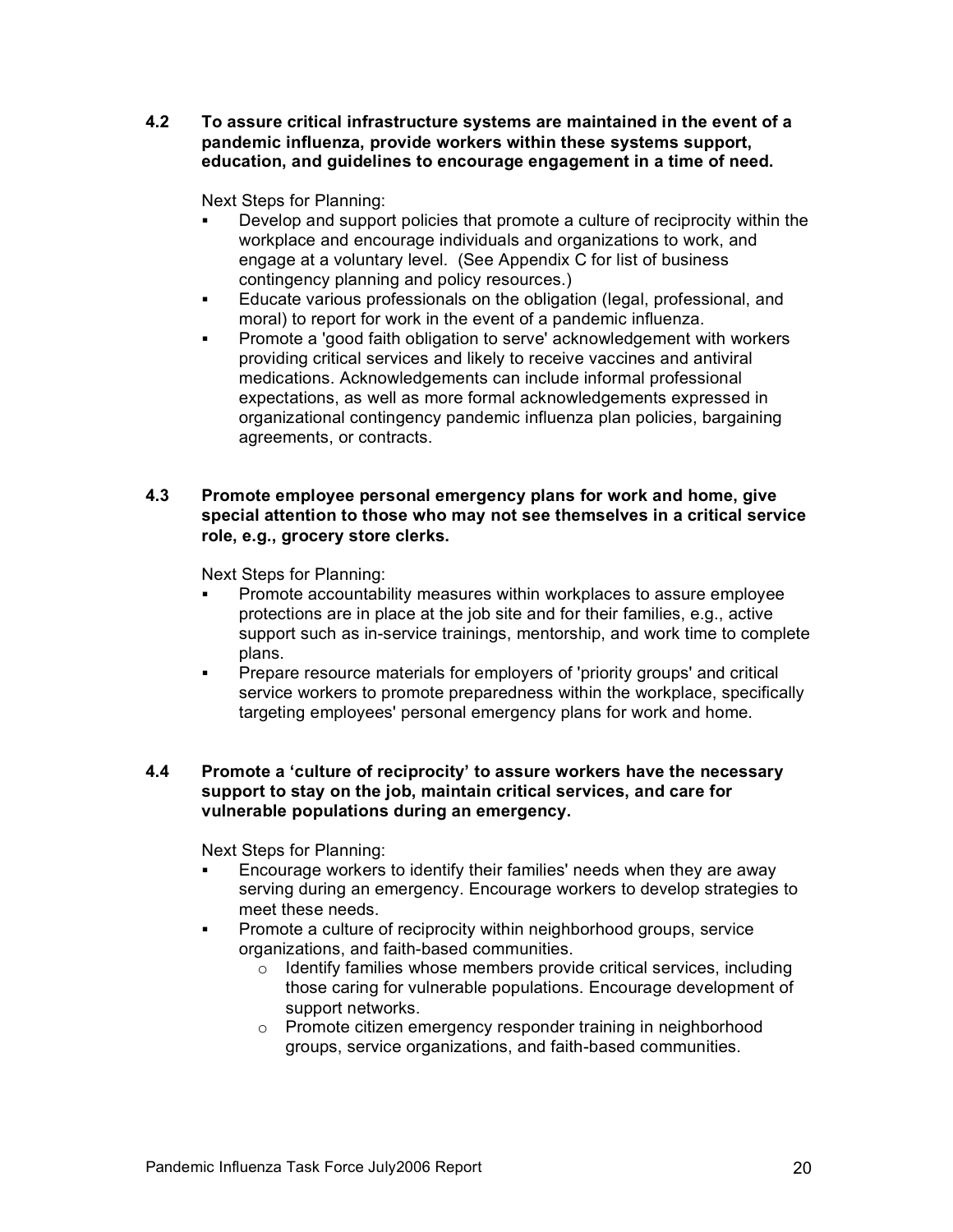**4.2 To assure critical infrastructure systems are maintained in the event of a pandemic influenza, provide workers within these systems support, education, and guidelines to encourage engagement in a time of need.**

Next Steps for Planning:

- ! Develop and support policies that promote a culture of reciprocity within the workplace and encourage individuals and organizations to work, and engage at a voluntary level. (See Appendix C for list of business contingency planning and policy resources.)
- ! Educate various professionals on the obligation (legal, professional, and moral) to report for work in the event of a pandemic influenza.
- ! Promote a 'good faith obligation to serve' acknowledgement with workers providing critical services and likely to receive vaccines and antiviral medications. Acknowledgements can include informal professional expectations, as well as more formal acknowledgements expressed in organizational contingency pandemic influenza plan policies, bargaining agreements, or contracts.

#### **4.3 Promote employee personal emergency plans for work and home, give special attention to those who may not see themselves in a critical service role, e.g., grocery store clerks.**

Next Steps for Planning:

- Promote accountability measures within workplaces to assure employee protections are in place at the job site and for their families, e.g., active support such as in-service trainings, mentorship, and work time to complete plans.
- ! Prepare resource materials for employers of 'priority groups' and critical service workers to promote preparedness within the workplace, specifically targeting employees' personal emergency plans for work and home.

#### **4.4 Promote a 'culture of reciprocity' to assure workers have the necessary support to stay on the job, maintain critical services, and care for vulnerable populations during an emergency.**

- ! Encourage workers to identify their families' needs when they are away serving during an emergency. Encourage workers to develop strategies to meet these needs.
- ! Promote a culture of reciprocity within neighborhood groups, service organizations, and faith-based communities.
	- o Identify families whose members provide critical services, including those caring for vulnerable populations. Encourage development of support networks.
	- o Promote citizen emergency responder training in neighborhood groups, service organizations, and faith-based communities.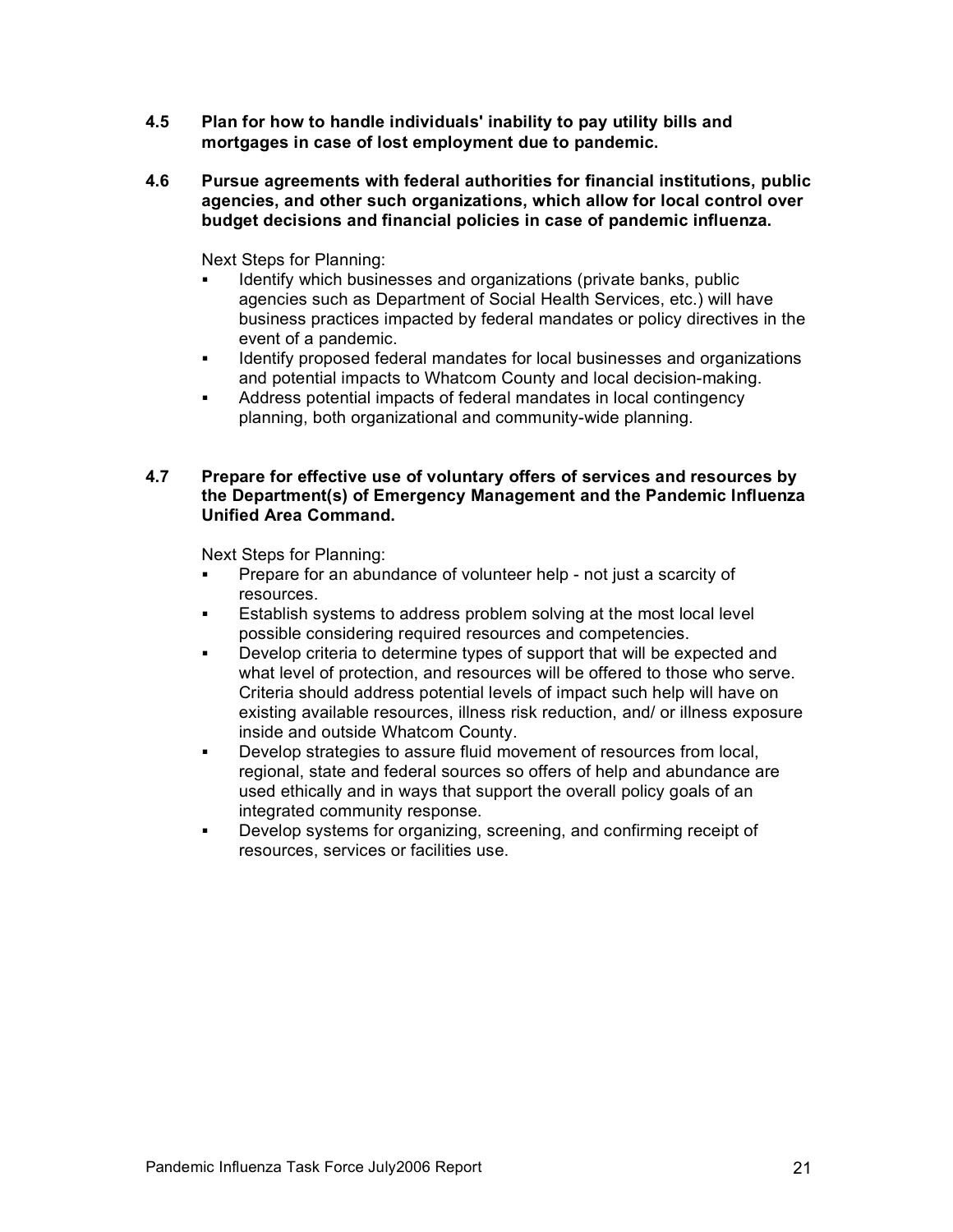- **4.5 Plan for how to handle individuals' inability to pay utility bills and mortgages in case of lost employment due to pandemic.**
- **4.6 Pursue agreements with federal authorities for financial institutions, public agencies, and other such organizations, which allow for local control over budget decisions and financial policies in case of pandemic influenza.**

Next Steps for Planning:

- Identify which businesses and organizations (private banks, public agencies such as Department of Social Health Services, etc.) will have business practices impacted by federal mandates or policy directives in the event of a pandemic.
- ! Identify proposed federal mandates for local businesses and organizations and potential impacts to Whatcom County and local decision-making.
- ! Address potential impacts of federal mandates in local contingency planning, both organizational and community-wide planning.

#### **4.7 Prepare for effective use of voluntary offers of services and resources by the Department(s) of Emergency Management and the Pandemic Influenza Unified Area Command.**

- Prepare for an abundance of volunteer help not just a scarcity of resources.
- **Establish systems to address problem solving at the most local level** possible considering required resources and competencies.
- Develop criteria to determine types of support that will be expected and what level of protection, and resources will be offered to those who serve. Criteria should address potential levels of impact such help will have on existing available resources, illness risk reduction, and/ or illness exposure inside and outside Whatcom County.
- ! Develop strategies to assure fluid movement of resources from local, regional, state and federal sources so offers of help and abundance are used ethically and in ways that support the overall policy goals of an integrated community response.
- ! Develop systems for organizing, screening, and confirming receipt of resources, services or facilities use.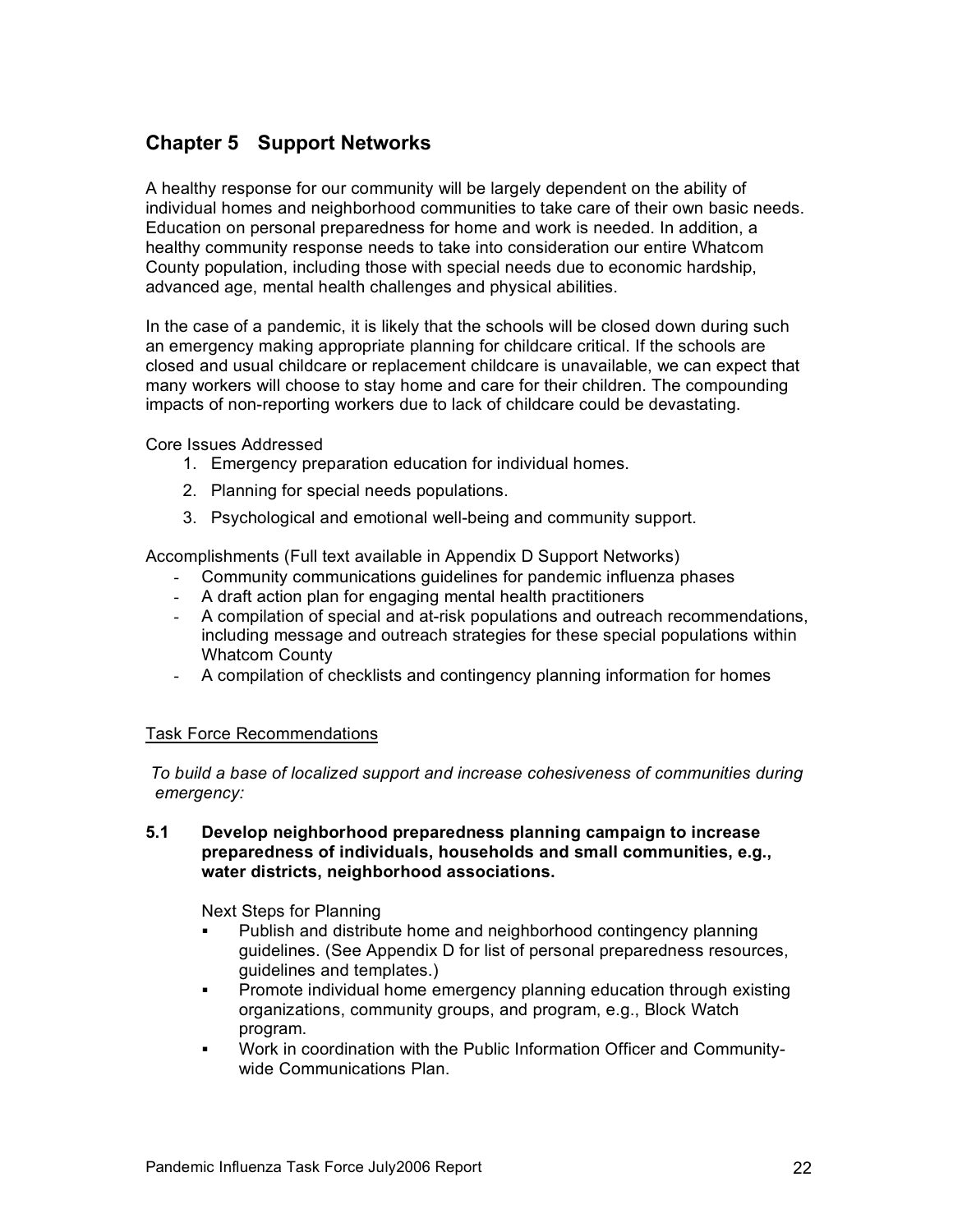# **Chapter 5 Support Networks**

A healthy response for our community will be largely dependent on the ability of individual homes and neighborhood communities to take care of their own basic needs. Education on personal preparedness for home and work is needed. In addition, a healthy community response needs to take into consideration our entire Whatcom County population, including those with special needs due to economic hardship, advanced age, mental health challenges and physical abilities.

In the case of a pandemic, it is likely that the schools will be closed down during such an emergency making appropriate planning for childcare critical. If the schools are closed and usual childcare or replacement childcare is unavailable, we can expect that many workers will choose to stay home and care for their children. The compounding impacts of non-reporting workers due to lack of childcare could be devastating.

Core Issues Addressed

- 1. Emergency preparation education for individual homes.
- 2. Planning for special needs populations.
- 3. Psychological and emotional well-being and community support.

Accomplishments (Full text available in Appendix D Support Networks)

- Community communications guidelines for pandemic influenza phases
- A draft action plan for engaging mental health practitioners
- A compilation of special and at-risk populations and outreach recommendations, including message and outreach strategies for these special populations within Whatcom County
- A compilation of checklists and contingency planning information for homes

# Task Force Recommendations

*To build a base of localized support and increase cohesiveness of communities during emergency:*

#### **5.1 Develop neighborhood preparedness planning campaign to increase preparedness of individuals, households and small communities, e.g., water districts, neighborhood associations.**

- Publish and distribute home and neighborhood contingency planning guidelines. (See Appendix D for list of personal preparedness resources, guidelines and templates.)
- ! Promote individual home emergency planning education through existing organizations, community groups, and program, e.g., Block Watch program.
- ! Work in coordination with the Public Information Officer and Communitywide Communications Plan.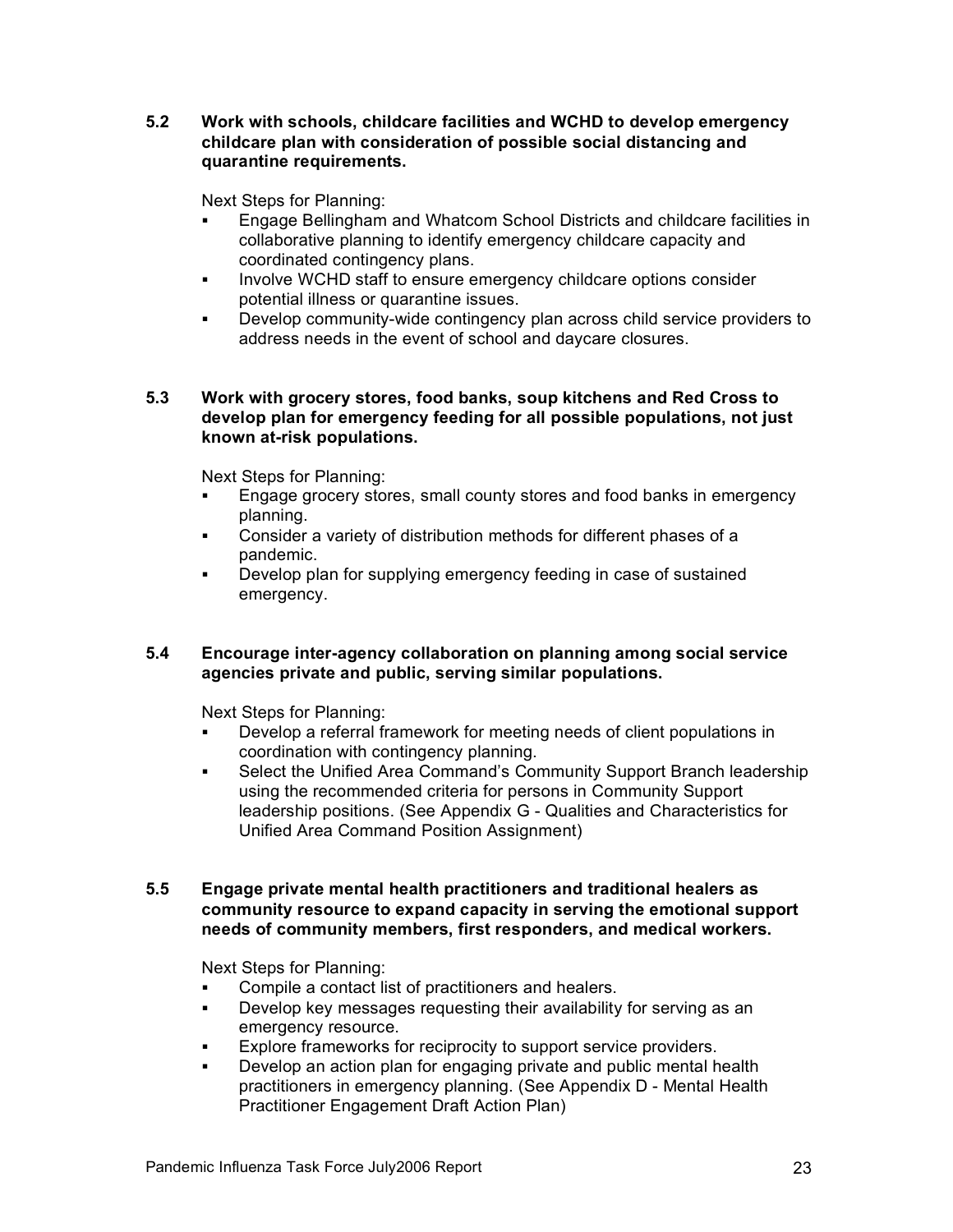#### **5.2 Work with schools, childcare facilities and WCHD to develop emergency childcare plan with consideration of possible social distancing and quarantine requirements.**

Next Steps for Planning:

- ! Engage Bellingham and Whatcom School Districts and childcare facilities in collaborative planning to identify emergency childcare capacity and coordinated contingency plans.
- ! Involve WCHD staff to ensure emergency childcare options consider potential illness or quarantine issues.
- ! Develop community-wide contingency plan across child service providers to address needs in the event of school and daycare closures.

#### **5.3 Work with grocery stores, food banks, soup kitchens and Red Cross to develop plan for emergency feeding for all possible populations, not just known at-risk populations.**

Next Steps for Planning:

- Engage grocery stores, small county stores and food banks in emergency planning.
- ! Consider a variety of distribution methods for different phases of a pandemic.
- Develop plan for supplying emergency feeding in case of sustained emergency.

# **5.4 Encourage inter-agency collaboration on planning among social service agencies private and public, serving similar populations.**

Next Steps for Planning:

- ! Develop a referral framework for meeting needs of client populations in coordination with contingency planning.
- **EXECT:** Select the Unified Area Command's Community Support Branch leadership using the recommended criteria for persons in Community Support leadership positions. (See Appendix G - Qualities and Characteristics for Unified Area Command Position Assignment)

#### **5.5 Engage private mental health practitioners and traditional healers as community resource to expand capacity in serving the emotional support needs of community members, first responders, and medical workers.**

- Compile a contact list of practitioners and healers.
- ! Develop key messages requesting their availability for serving as an emergency resource.
- **Explore frameworks for reciprocity to support service providers.**
- Develop an action plan for engaging private and public mental health practitioners in emergency planning. (See Appendix D - Mental Health Practitioner Engagement Draft Action Plan)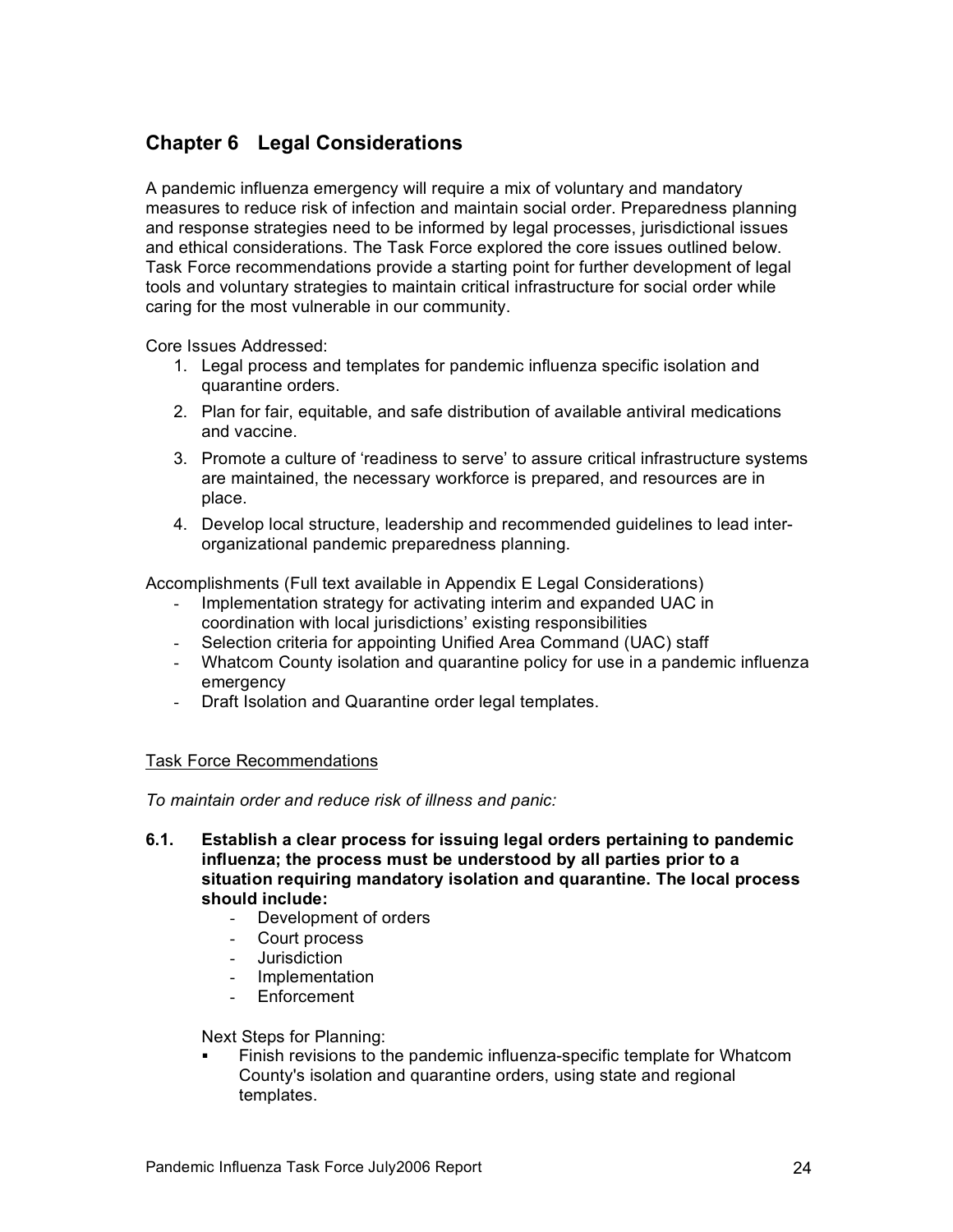# **Chapter 6 Legal Considerations**

A pandemic influenza emergency will require a mix of voluntary and mandatory measures to reduce risk of infection and maintain social order. Preparedness planning and response strategies need to be informed by legal processes, jurisdictional issues and ethical considerations. The Task Force explored the core issues outlined below. Task Force recommendations provide a starting point for further development of legal tools and voluntary strategies to maintain critical infrastructure for social order while caring for the most vulnerable in our community.

Core Issues Addressed:

- 1. Legal process and templates for pandemic influenza specific isolation and quarantine orders.
- 2. Plan for fair, equitable, and safe distribution of available antiviral medications and vaccine.
- 3. Promote a culture of 'readiness to serve' to assure critical infrastructure systems are maintained, the necessary workforce is prepared, and resources are in place.
- 4. Develop local structure, leadership and recommended guidelines to lead interorganizational pandemic preparedness planning.

Accomplishments (Full text available in Appendix E Legal Considerations)

- Implementation strategy for activating interim and expanded UAC in coordination with local jurisdictions' existing responsibilities
- Selection criteria for appointing Unified Area Command (UAC) staff
- Whatcom County isolation and quarantine policy for use in a pandemic influenza emergency
- Draft Isolation and Quarantine order legal templates.

# Task Force Recommendations

*To maintain order and reduce risk of illness and panic:*

- **6.1. Establish a clear process for issuing legal orders pertaining to pandemic influenza; the process must be understood by all parties prior to a situation requiring mandatory isolation and quarantine. The local process should include:**
	- Development of orders
	- Court process
	- Jurisdiction
	- Implementation
	- Enforcement

Next Steps for Planning:

! Finish revisions to the pandemic influenza-specific template for Whatcom County's isolation and quarantine orders, using state and regional templates.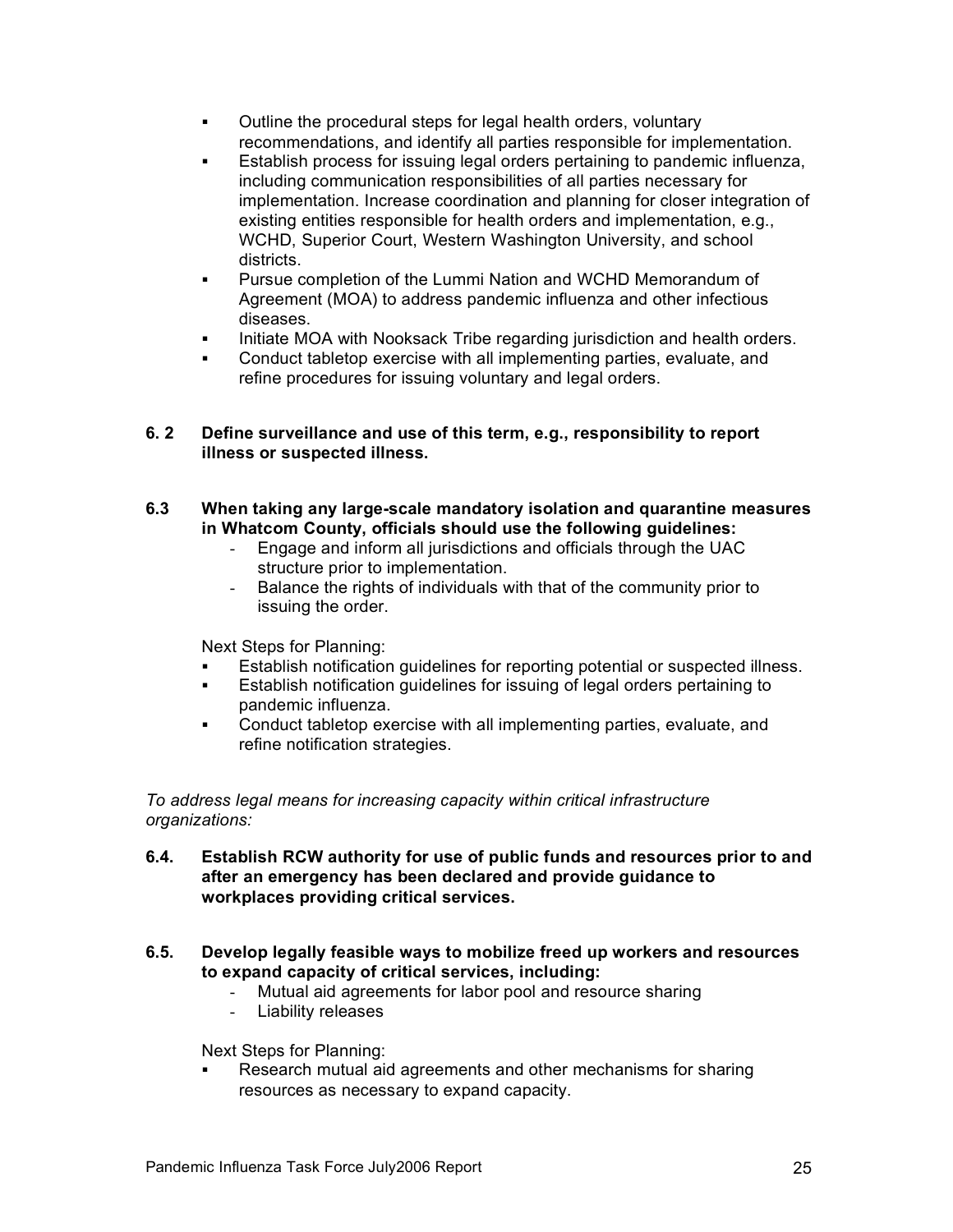- ! Outline the procedural steps for legal health orders, voluntary recommendations, and identify all parties responsible for implementation.
- Establish process for issuing legal orders pertaining to pandemic influenza, including communication responsibilities of all parties necessary for implementation. Increase coordination and planning for closer integration of existing entities responsible for health orders and implementation, e.g., WCHD, Superior Court, Western Washington University, and school districts.
- Pursue completion of the Lummi Nation and WCHD Memorandum of Agreement (MOA) to address pandemic influenza and other infectious diseases.
- Initiate MOA with Nooksack Tribe regarding jurisdiction and health orders.
- ! Conduct tabletop exercise with all implementing parties, evaluate, and refine procedures for issuing voluntary and legal orders.

#### **6. 2 Define surveillance and use of this term, e.g., responsibility to report illness or suspected illness.**

- **6.3 When taking any large-scale mandatory isolation and quarantine measures in Whatcom County, officials should use the following guidelines:**
	- Engage and inform all jurisdictions and officials through the UAC structure prior to implementation.
	- Balance the rights of individuals with that of the community prior to issuing the order.

Next Steps for Planning:

- Establish notification guidelines for reporting potential or suspected illness.
- Establish notification guidelines for issuing of legal orders pertaining to pandemic influenza.
- ! Conduct tabletop exercise with all implementing parties, evaluate, and refine notification strategies.

*To address legal means for increasing capacity within critical infrastructure organizations:*

- **6.4. Establish RCW authority for use of public funds and resources prior to and after an emergency has been declared and provide guidance to workplaces providing critical services.**
- **6.5. Develop legally feasible ways to mobilize freed up workers and resources to expand capacity of critical services, including:**
	- Mutual aid agreements for labor pool and resource sharing
	- Liability releases

Next Steps for Planning:

Research mutual aid agreements and other mechanisms for sharing resources as necessary to expand capacity.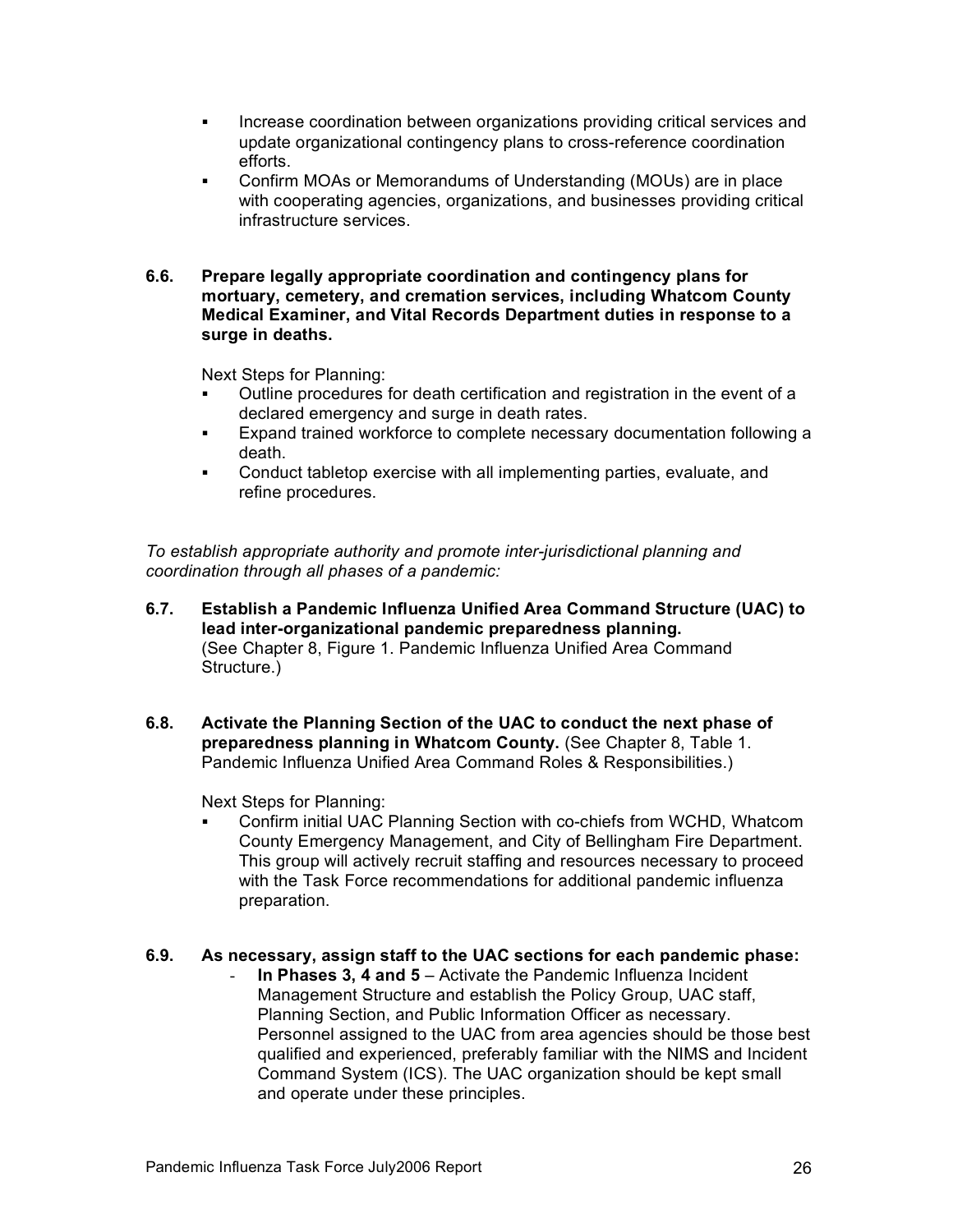- ! Increase coordination between organizations providing critical services and update organizational contingency plans to cross-reference coordination efforts.
- ! Confirm MOAs or Memorandums of Understanding (MOUs) are in place with cooperating agencies, organizations, and businesses providing critical infrastructure services.
- **6.6. Prepare legally appropriate coordination and contingency plans for mortuary, cemetery, and cremation services, including Whatcom County Medical Examiner, and Vital Records Department duties in response to a surge in deaths.**

Next Steps for Planning:

- Outline procedures for death certification and registration in the event of a declared emergency and surge in death rates.
- ! Expand trained workforce to complete necessary documentation following a death.
- ! Conduct tabletop exercise with all implementing parties, evaluate, and refine procedures.

*To establish appropriate authority and promote inter-jurisdictional planning and coordination through all phases of a pandemic:*

- **6.7. Establish a Pandemic Influenza Unified Area Command Structure (UAC) to lead inter-organizational pandemic preparedness planning.** (See Chapter 8, Figure 1. Pandemic Influenza Unified Area Command Structure.)
- **6.8. Activate the Planning Section of the UAC to conduct the next phase of preparedness planning in Whatcom County.** (See Chapter 8, Table 1. Pandemic Influenza Unified Area Command Roles & Responsibilities.)

Next Steps for Planning:

! Confirm initial UAC Planning Section with co-chiefs from WCHD, Whatcom County Emergency Management, and City of Bellingham Fire Department. This group will actively recruit staffing and resources necessary to proceed with the Task Force recommendations for additional pandemic influenza preparation.

#### **6.9. As necessary, assign staff to the UAC sections for each pandemic phase:**

- **In Phases 3, 4 and 5** – Activate the Pandemic Influenza Incident Management Structure and establish the Policy Group, UAC staff, Planning Section, and Public Information Officer as necessary. Personnel assigned to the UAC from area agencies should be those best qualified and experienced, preferably familiar with the NIMS and Incident Command System (ICS). The UAC organization should be kept small and operate under these principles.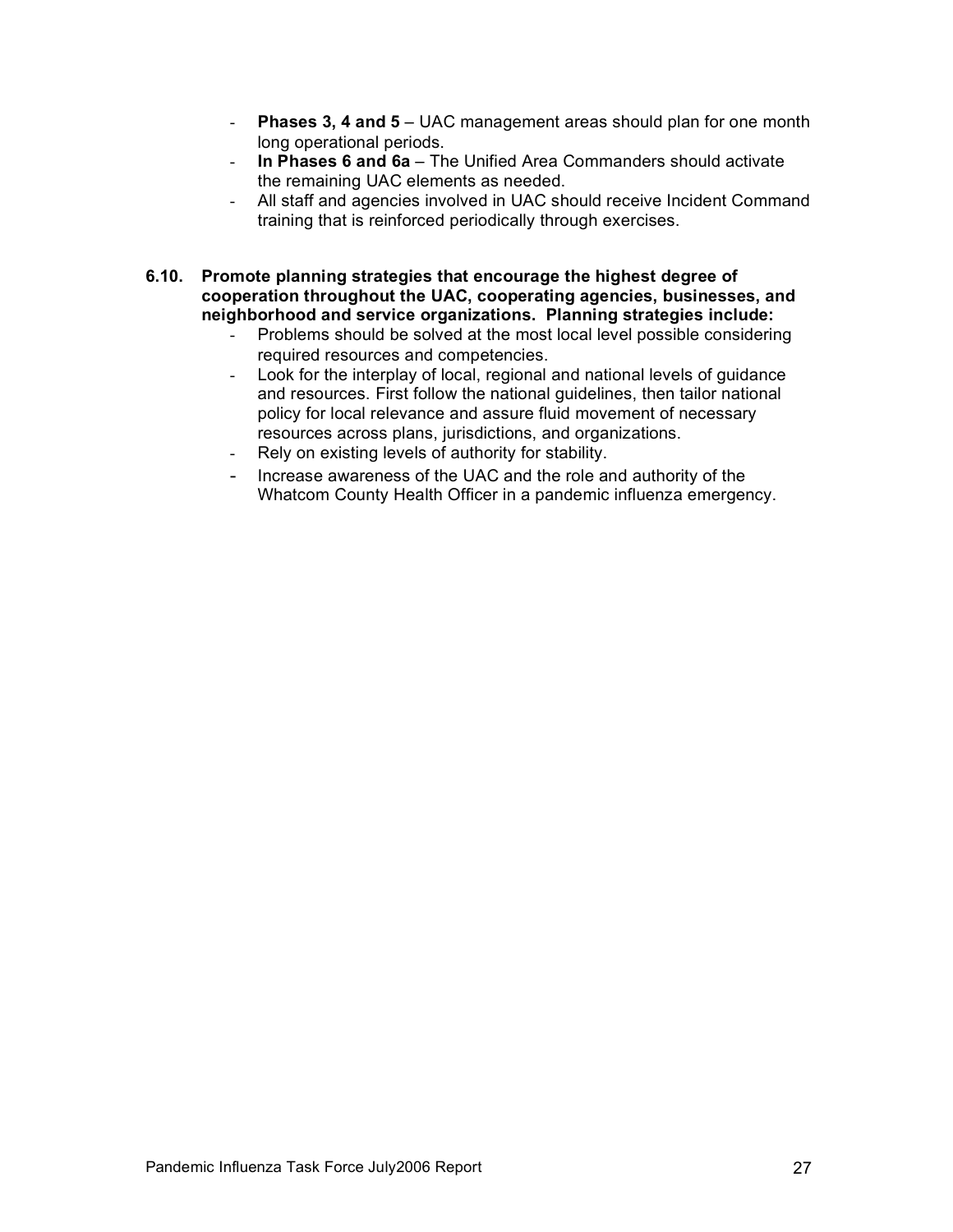- **Phases 3, 4 and 5**  UAC management areas should plan for one month long operational periods.
- **In Phases 6 and 6a**  The Unified Area Commanders should activate the remaining UAC elements as needed.
- All staff and agencies involved in UAC should receive Incident Command training that is reinforced periodically through exercises.
- **6.10. Promote planning strategies that encourage the highest degree of cooperation throughout the UAC, cooperating agencies, businesses, and neighborhood and service organizations. Planning strategies include:** 
	- Problems should be solved at the most local level possible considering required resources and competencies.
	- Look for the interplay of local, regional and national levels of guidance and resources. First follow the national guidelines, then tailor national policy for local relevance and assure fluid movement of necessary resources across plans, jurisdictions, and organizations.
	- Rely on existing levels of authority for stability.
	- Increase awareness of the UAC and the role and authority of the Whatcom County Health Officer in a pandemic influenza emergency.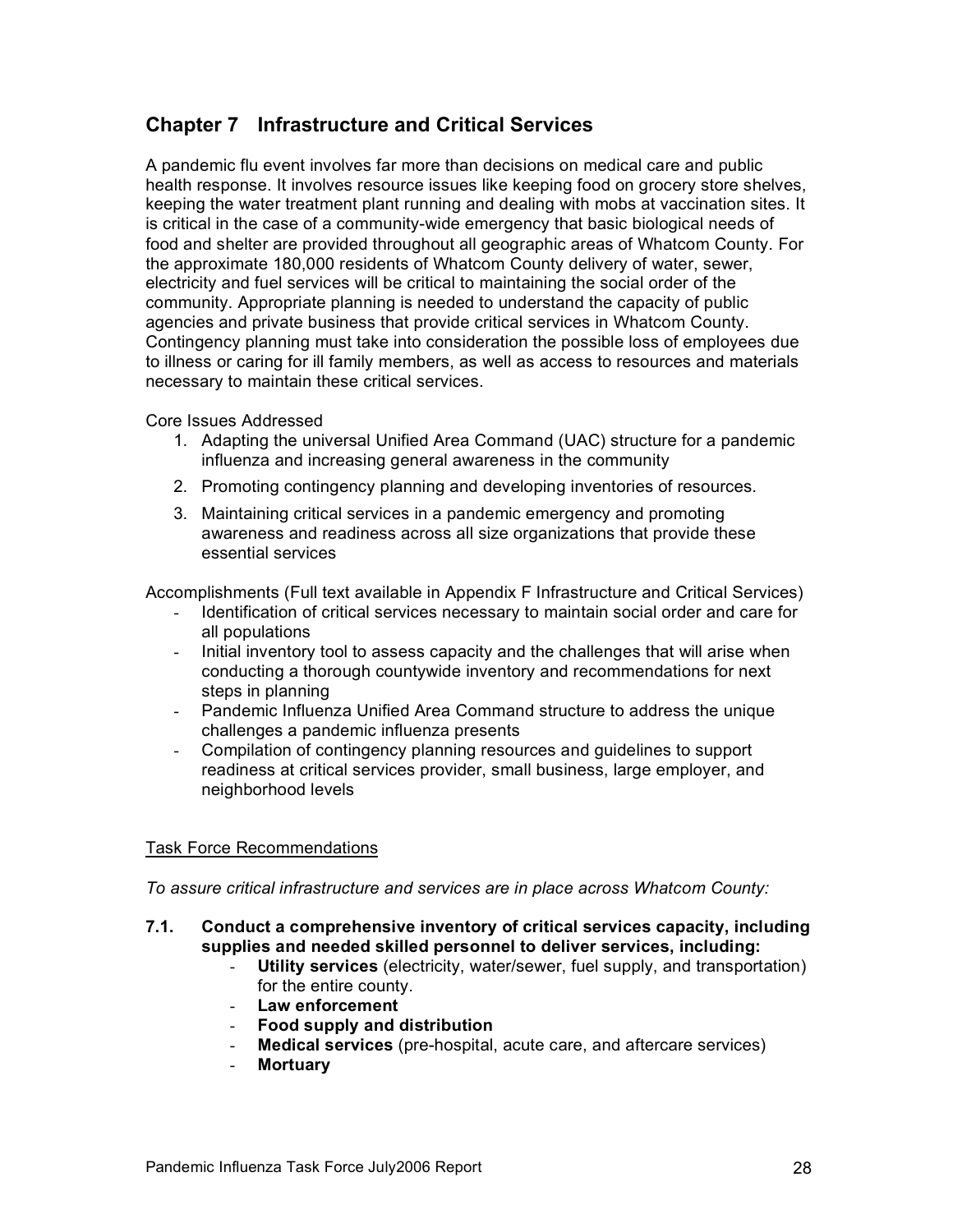# **Chapter 7 Infrastructure and Critical Services**

A pandemic flu event involves far more than decisions on medical care and public health response. It involves resource issues like keeping food on grocery store shelves, keeping the water treatment plant running and dealing with mobs at vaccination sites. It is critical in the case of a community-wide emergency that basic biological needs of food and shelter are provided throughout all geographic areas of Whatcom County. For the approximate 180,000 residents of Whatcom County delivery of water, sewer, electricity and fuel services will be critical to maintaining the social order of the community. Appropriate planning is needed to understand the capacity of public agencies and private business that provide critical services in Whatcom County. Contingency planning must take into consideration the possible loss of employees due to illness or caring for ill family members, as well as access to resources and materials necessary to maintain these critical services.

Core Issues Addressed

- 1. Adapting the universal Unified Area Command (UAC) structure for a pandemic influenza and increasing general awareness in the community
- 2. Promoting contingency planning and developing inventories of resources.
- 3. Maintaining critical services in a pandemic emergency and promoting awareness and readiness across all size organizations that provide these essential services

Accomplishments (Full text available in Appendix F Infrastructure and Critical Services)

- Identification of critical services necessary to maintain social order and care for all populations
- Initial inventory tool to assess capacity and the challenges that will arise when conducting a thorough countywide inventory and recommendations for next steps in planning
- Pandemic Influenza Unified Area Command structure to address the unique challenges a pandemic influenza presents
- Compilation of contingency planning resources and guidelines to support readiness at critical services provider, small business, large employer, and neighborhood levels

# Task Force Recommendations

*To assure critical infrastructure and services are in place across Whatcom County:*

- **7.1. Conduct a comprehensive inventory of critical services capacity, including supplies and needed skilled personnel to deliver services, including:** 
	- **Utility services** (electricity, water/sewer, fuel supply, and transportation) for the entire county.
	- **Law enforcement**
	- **Food supply and distribution**
	- **Medical services** (pre-hospital, acute care, and aftercare services)
	- **Mortuary**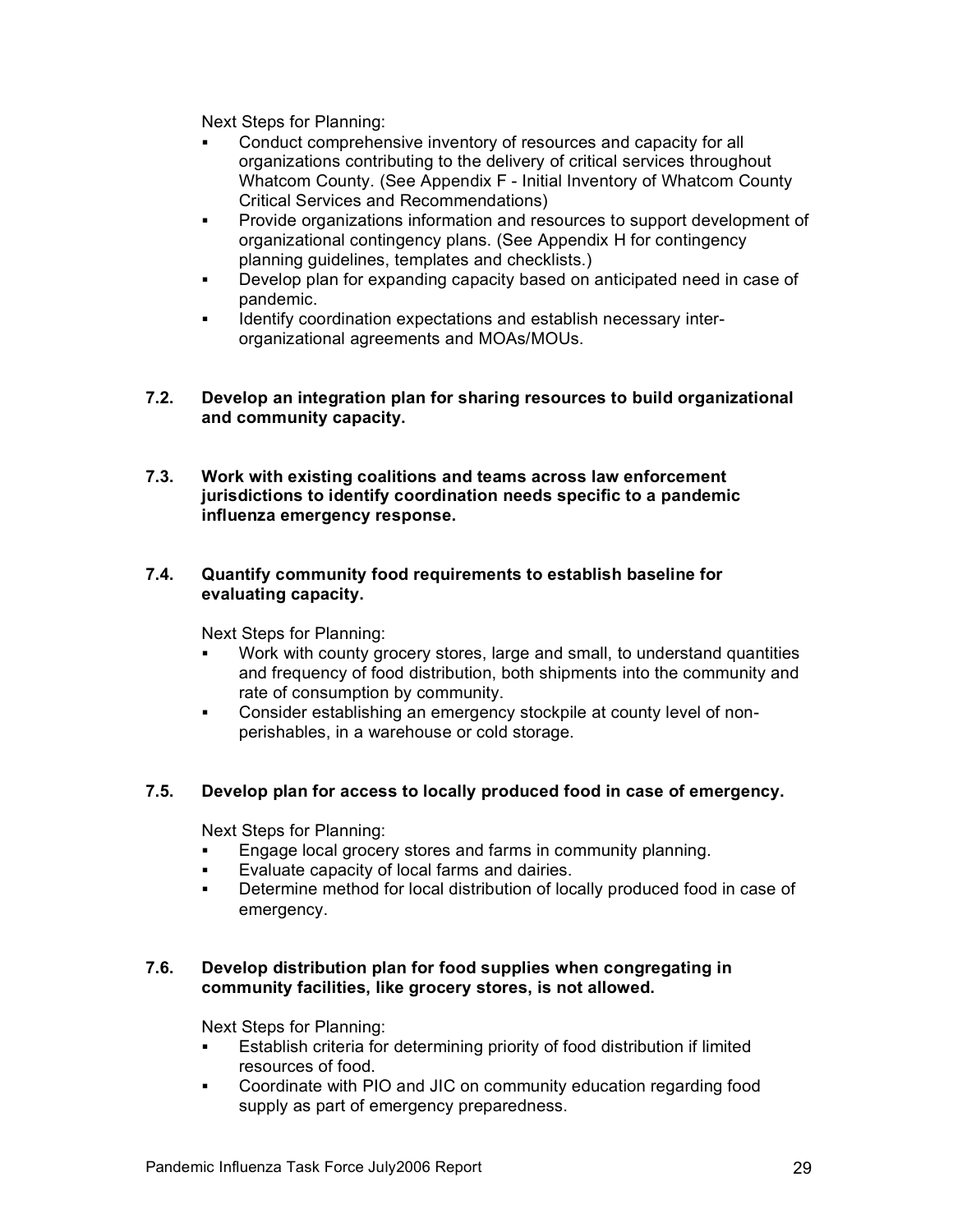Next Steps for Planning:

- Conduct comprehensive inventory of resources and capacity for all organizations contributing to the delivery of critical services throughout Whatcom County. (See Appendix F - Initial Inventory of Whatcom County Critical Services and Recommendations)
- ! Provide organizations information and resources to support development of organizational contingency plans. (See Appendix H for contingency planning guidelines, templates and checklists.)
- ! Develop plan for expanding capacity based on anticipated need in case of pandemic.
- ! Identify coordination expectations and establish necessary interorganizational agreements and MOAs/MOUs.

#### **7.2. Develop an integration plan for sharing resources to build organizational and community capacity.**

**7.3. Work with existing coalitions and teams across law enforcement jurisdictions to identify coordination needs specific to a pandemic influenza emergency response.**

# **7.4. Quantify community food requirements to establish baseline for evaluating capacity.**

Next Steps for Planning:

- Work with county grocery stores, large and small, to understand quantities and frequency of food distribution, both shipments into the community and rate of consumption by community.
- ! Consider establishing an emergency stockpile at county level of nonperishables, in a warehouse or cold storage.

# **7.5. Develop plan for access to locally produced food in case of emergency.**

Next Steps for Planning:

- **Engage local grocery stores and farms in community planning.**
- Evaluate capacity of local farms and dairies.
- ! Determine method for local distribution of locally produced food in case of emergency.

#### **7.6. Develop distribution plan for food supplies when congregating in community facilities, like grocery stores, is not allowed.**

- ! Establish criteria for determining priority of food distribution if limited resources of food.
- ! Coordinate with PIO and JIC on community education regarding food supply as part of emergency preparedness.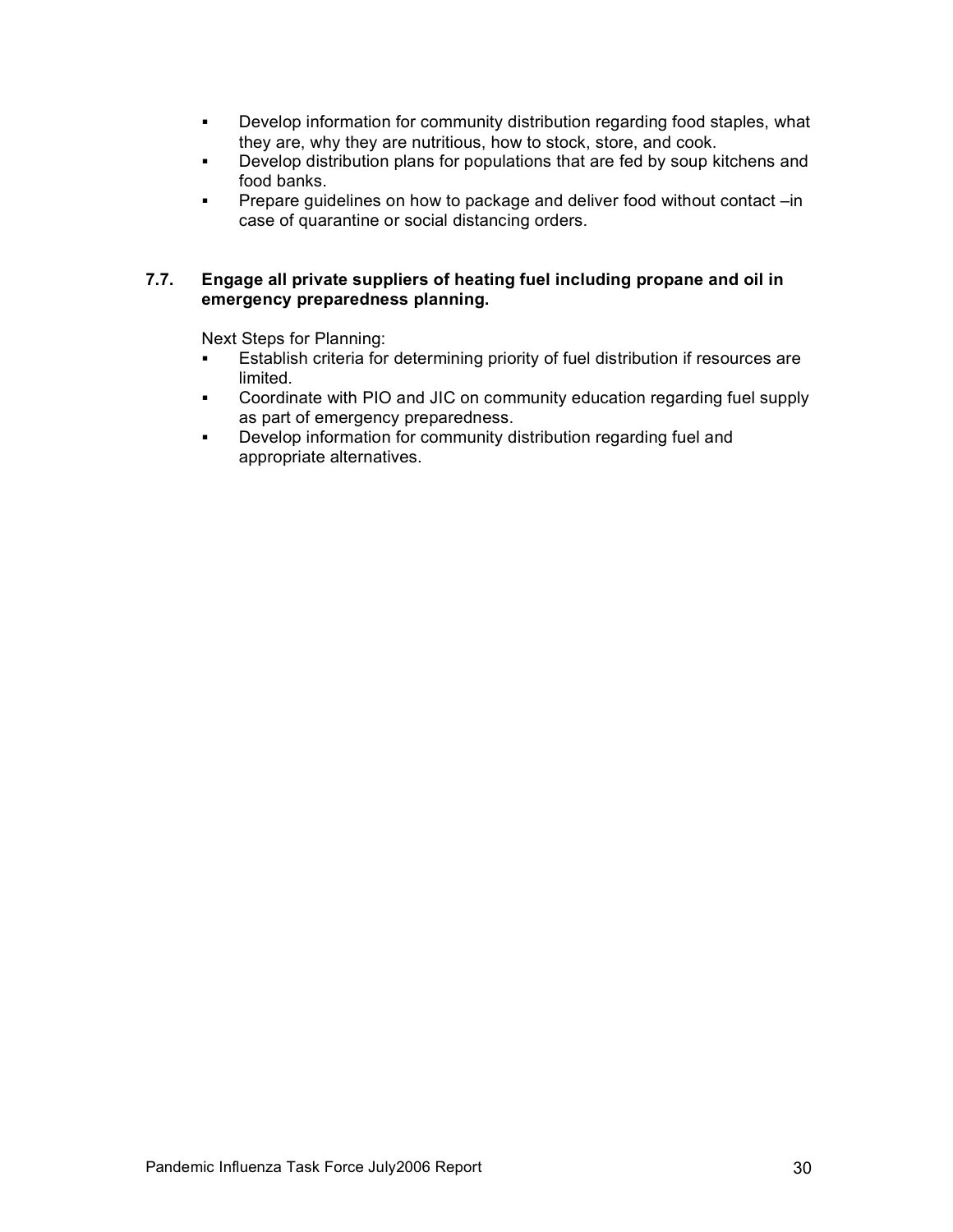- ! Develop information for community distribution regarding food staples, what they are, why they are nutritious, how to stock, store, and cook.
- ! Develop distribution plans for populations that are fed by soup kitchens and food banks.
- ! Prepare guidelines on how to package and deliver food without contact –in case of quarantine or social distancing orders.

#### **7.7. Engage all private suppliers of heating fuel including propane and oil in emergency preparedness planning.**

- ! Establish criteria for determining priority of fuel distribution if resources are limited.
- ! Coordinate with PIO and JIC on community education regarding fuel supply as part of emergency preparedness.
- **.** Develop information for community distribution regarding fuel and appropriate alternatives.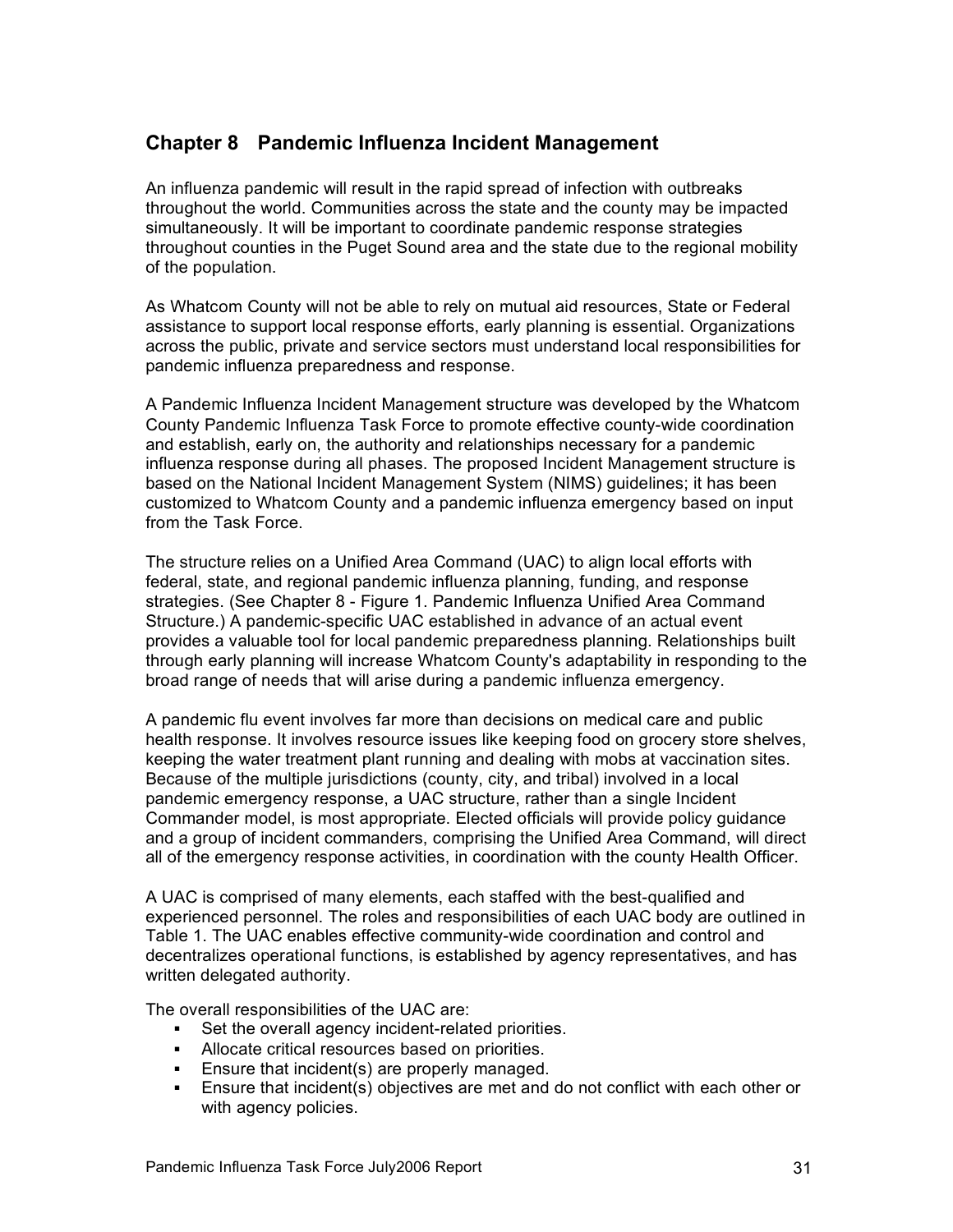# **Chapter 8 Pandemic Influenza Incident Management**

An influenza pandemic will result in the rapid spread of infection with outbreaks throughout the world. Communities across the state and the county may be impacted simultaneously. It will be important to coordinate pandemic response strategies throughout counties in the Puget Sound area and the state due to the regional mobility of the population.

As Whatcom County will not be able to rely on mutual aid resources, State or Federal assistance to support local response efforts, early planning is essential. Organizations across the public, private and service sectors must understand local responsibilities for pandemic influenza preparedness and response.

A Pandemic Influenza Incident Management structure was developed by the Whatcom County Pandemic Influenza Task Force to promote effective county-wide coordination and establish, early on, the authority and relationships necessary for a pandemic influenza response during all phases. The proposed Incident Management structure is based on the National Incident Management System (NIMS) guidelines; it has been customized to Whatcom County and a pandemic influenza emergency based on input from the Task Force.

The structure relies on a Unified Area Command (UAC) to align local efforts with federal, state, and regional pandemic influenza planning, funding, and response strategies. (See Chapter 8 - Figure 1. Pandemic Influenza Unified Area Command Structure.) A pandemic-specific UAC established in advance of an actual event provides a valuable tool for local pandemic preparedness planning. Relationships built through early planning will increase Whatcom County's adaptability in responding to the broad range of needs that will arise during a pandemic influenza emergency.

A pandemic flu event involves far more than decisions on medical care and public health response. It involves resource issues like keeping food on grocery store shelves, keeping the water treatment plant running and dealing with mobs at vaccination sites. Because of the multiple jurisdictions (county, city, and tribal) involved in a local pandemic emergency response, a UAC structure, rather than a single Incident Commander model, is most appropriate. Elected officials will provide policy guidance and a group of incident commanders, comprising the Unified Area Command, will direct all of the emergency response activities, in coordination with the county Health Officer.

A UAC is comprised of many elements, each staffed with the best-qualified and experienced personnel. The roles and responsibilities of each UAC body are outlined in Table 1. The UAC enables effective community-wide coordination and control and decentralizes operational functions, is established by agency representatives, and has written delegated authority.

The overall responsibilities of the UAC are:

- ! Set the overall agency incident-related priorities.
- ! Allocate critical resources based on priorities.
- ! Ensure that incident(s) are properly managed.
- ! Ensure that incident(s) objectives are met and do not conflict with each other or with agency policies.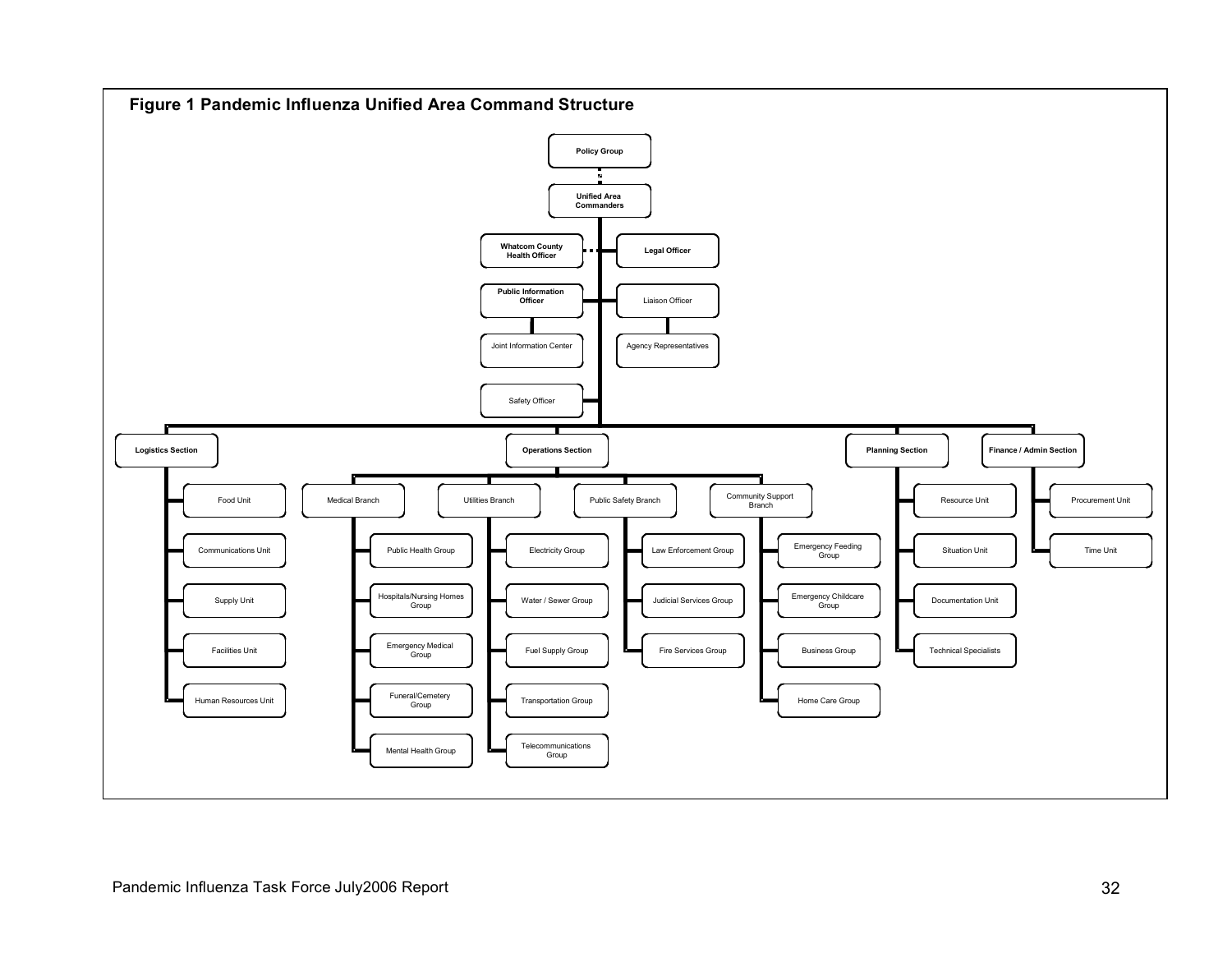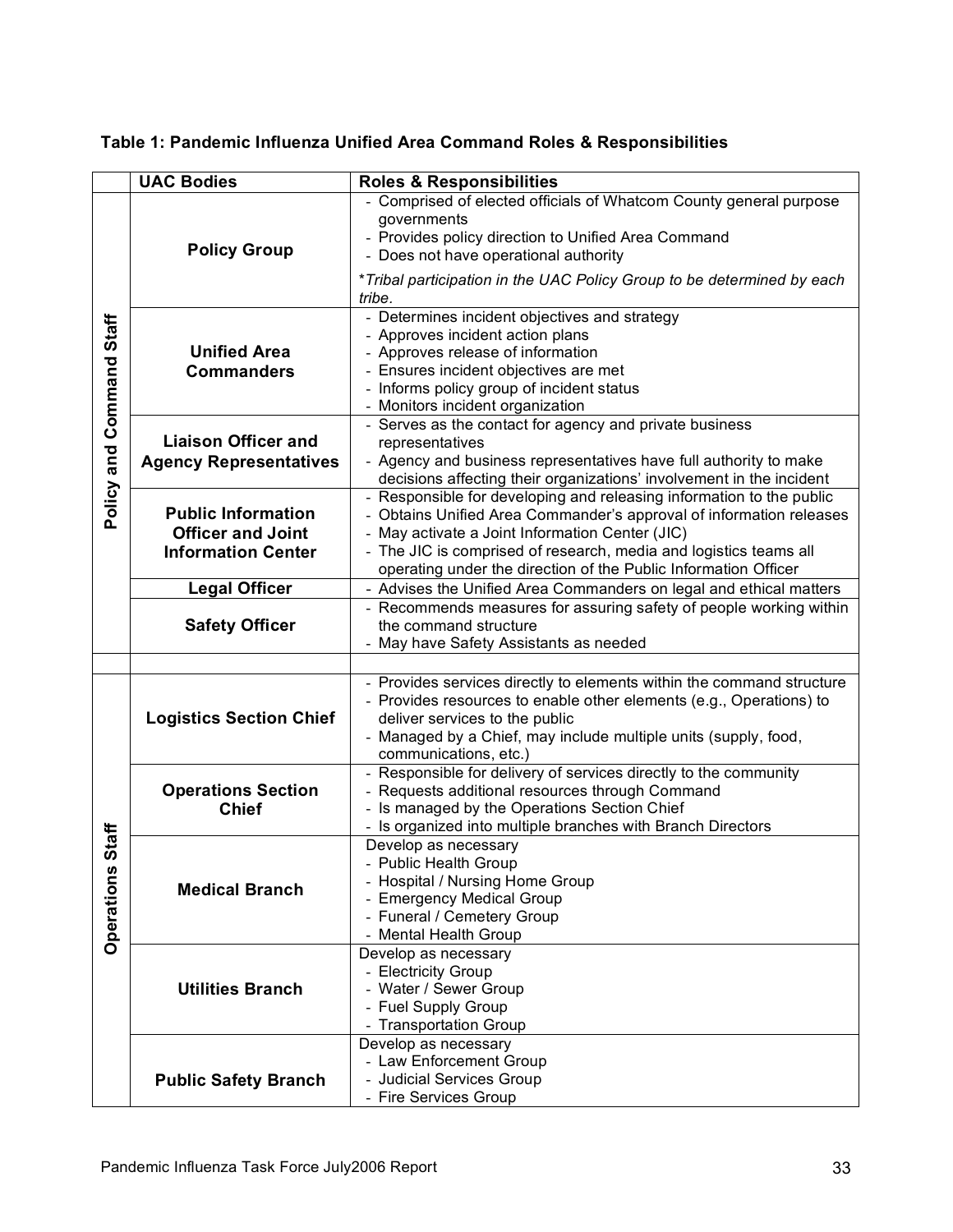| Table 1: Pandemic Influenza Unified Area Command Roles & Responsibilities |
|---------------------------------------------------------------------------|
|---------------------------------------------------------------------------|

|                                | <b>UAC Bodies</b>                                                                  | <b>Roles &amp; Responsibilities</b>                                                                                                                                                                                                                                                                                                    |
|--------------------------------|------------------------------------------------------------------------------------|----------------------------------------------------------------------------------------------------------------------------------------------------------------------------------------------------------------------------------------------------------------------------------------------------------------------------------------|
| Staff<br>Command<br>Policy and | <b>Policy Group</b>                                                                | - Comprised of elected officials of Whatcom County general purpose<br>governments<br>- Provides policy direction to Unified Area Command<br>- Does not have operational authority                                                                                                                                                      |
|                                |                                                                                    | *Tribal participation in the UAC Policy Group to be determined by each<br>tribe.                                                                                                                                                                                                                                                       |
|                                | <b>Unified Area</b><br><b>Commanders</b>                                           | - Determines incident objectives and strategy<br>- Approves incident action plans<br>- Approves release of information<br>- Ensures incident objectives are met<br>- Informs policy group of incident status<br>- Monitors incident organization                                                                                       |
|                                | <b>Liaison Officer and</b><br><b>Agency Representatives</b>                        | - Serves as the contact for agency and private business<br>representatives<br>- Agency and business representatives have full authority to make<br>decisions affecting their organizations' involvement in the incident                                                                                                                |
|                                | <b>Public Information</b><br><b>Officer and Joint</b><br><b>Information Center</b> | - Responsible for developing and releasing information to the public<br>- Obtains Unified Area Commander's approval of information releases<br>- May activate a Joint Information Center (JIC)<br>- The JIC is comprised of research, media and logistics teams all<br>operating under the direction of the Public Information Officer |
|                                | <b>Legal Officer</b>                                                               | - Advises the Unified Area Commanders on legal and ethical matters                                                                                                                                                                                                                                                                     |
|                                | <b>Safety Officer</b>                                                              | - Recommends measures for assuring safety of people working within<br>the command structure<br>- May have Safety Assistants as needed                                                                                                                                                                                                  |
| Staff<br><b>Operations</b>     | <b>Logistics Section Chief</b>                                                     | - Provides services directly to elements within the command structure<br>- Provides resources to enable other elements (e.g., Operations) to<br>deliver services to the public<br>- Managed by a Chief, may include multiple units (supply, food,<br>communications, etc.)                                                             |
|                                | <b>Operations Section</b><br><b>Chief</b>                                          | - Responsible for delivery of services directly to the community<br>- Requests additional resources through Command<br>- Is managed by the Operations Section Chief<br>- Is organized into multiple branches with Branch Directors                                                                                                     |
|                                | <b>Medical Branch</b>                                                              | Develop as necessary<br><b>Public Health Group</b><br>- Hospital / Nursing Home Group<br>- Emergency Medical Group<br>- Funeral / Cemetery Group<br>- Mental Health Group                                                                                                                                                              |
|                                | <b>Utilities Branch</b>                                                            | Develop as necessary<br>- Electricity Group<br>- Water / Sewer Group<br>- Fuel Supply Group<br>- Transportation Group                                                                                                                                                                                                                  |
|                                | <b>Public Safety Branch</b>                                                        | Develop as necessary<br>- Law Enforcement Group<br>- Judicial Services Group<br>- Fire Services Group                                                                                                                                                                                                                                  |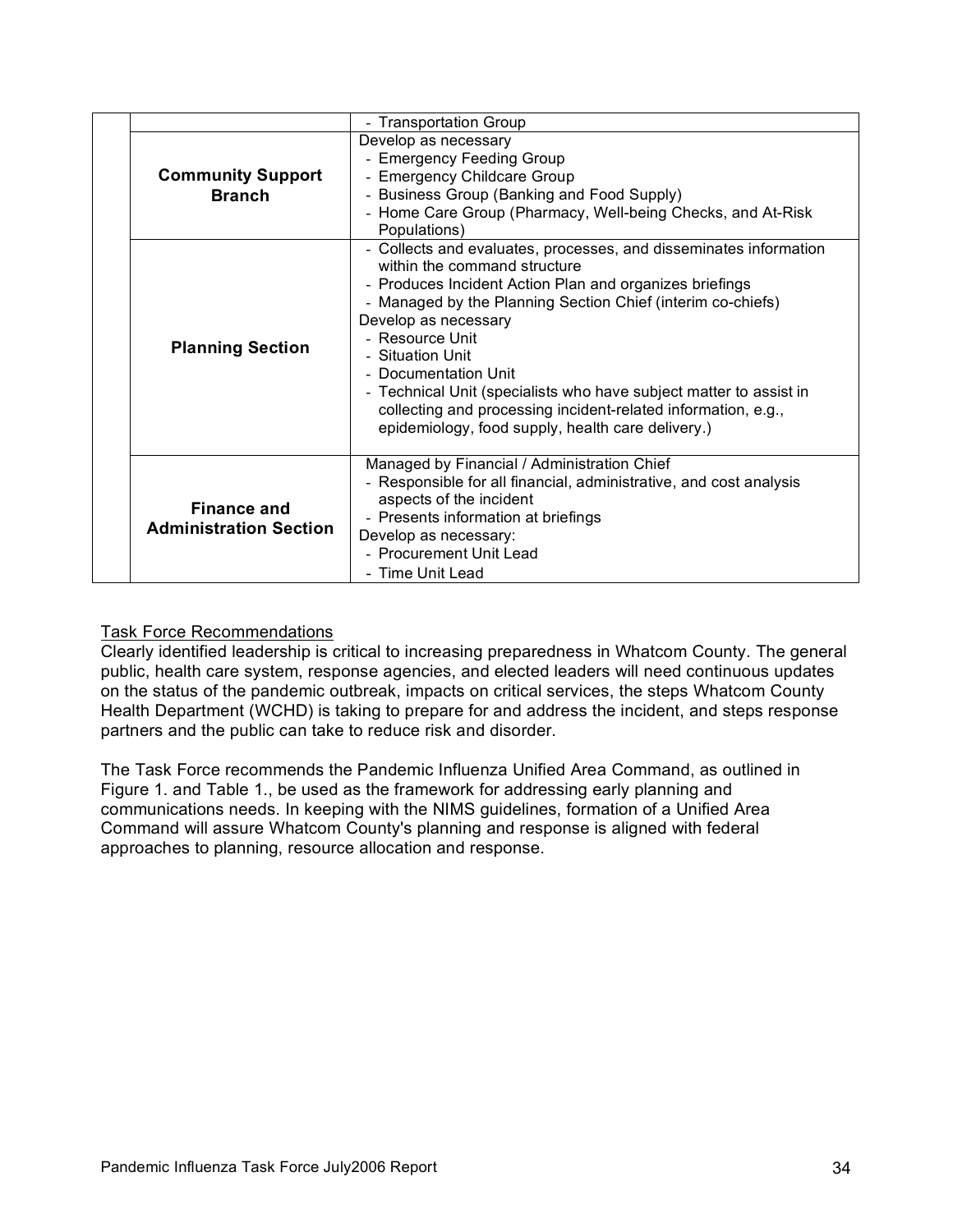|  |                                                     | - Transportation Group                                                                                                                                                                                                                                                                                                                                                                                                                                                                                         |
|--|-----------------------------------------------------|----------------------------------------------------------------------------------------------------------------------------------------------------------------------------------------------------------------------------------------------------------------------------------------------------------------------------------------------------------------------------------------------------------------------------------------------------------------------------------------------------------------|
|  | <b>Community Support</b><br><b>Branch</b>           | Develop as necessary<br>- Emergency Feeding Group<br>- Emergency Childcare Group<br>- Business Group (Banking and Food Supply)<br>- Home Care Group (Pharmacy, Well-being Checks, and At-Risk<br>Populations)                                                                                                                                                                                                                                                                                                  |
|  | <b>Planning Section</b>                             | - Collects and evaluates, processes, and disseminates information<br>within the command structure<br>- Produces Incident Action Plan and organizes briefings<br>- Managed by the Planning Section Chief (interim co-chiefs)<br>Develop as necessary<br>- Resource Unit<br>- Situation Unit<br>- Documentation Unit<br>- Technical Unit (specialists who have subject matter to assist in<br>collecting and processing incident-related information, e.g.,<br>epidemiology, food supply, health care delivery.) |
|  | <b>Finance and</b><br><b>Administration Section</b> | Managed by Financial / Administration Chief<br>- Responsible for all financial, administrative, and cost analysis<br>aspects of the incident<br>- Presents information at briefings<br>Develop as necessary:<br>- Procurement Unit Lead<br>- Time Unit Lead                                                                                                                                                                                                                                                    |

# Task Force Recommendations

Clearly identified leadership is critical to increasing preparedness in Whatcom County. The general public, health care system, response agencies, and elected leaders will need continuous updates on the status of the pandemic outbreak, impacts on critical services, the steps Whatcom County Health Department (WCHD) is taking to prepare for and address the incident, and steps response partners and the public can take to reduce risk and disorder.

The Task Force recommends the Pandemic Influenza Unified Area Command, as outlined in Figure 1. and Table 1., be used as the framework for addressing early planning and communications needs. In keeping with the NIMS guidelines, formation of a Unified Area Command will assure Whatcom County's planning and response is aligned with federal approaches to planning, resource allocation and response.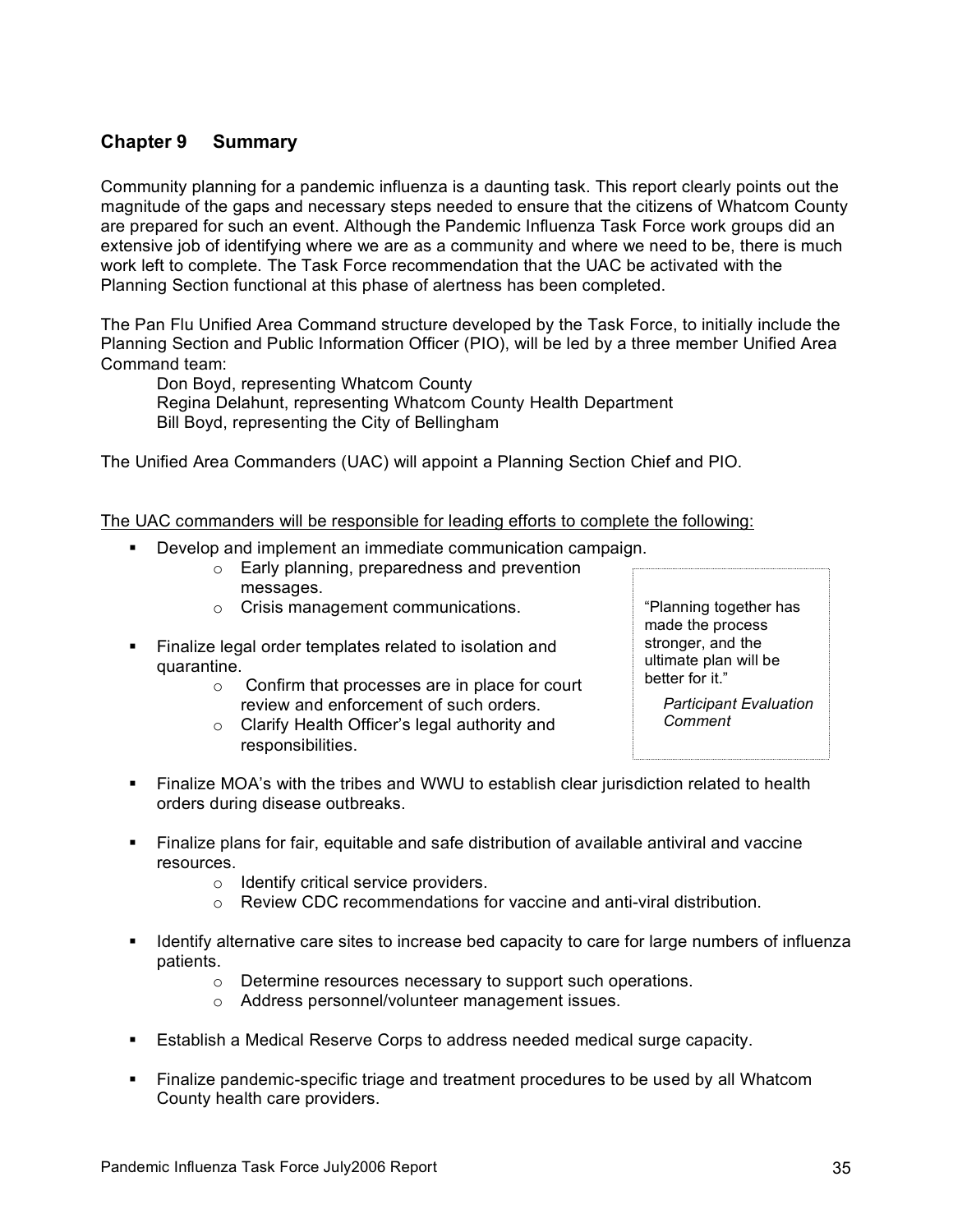# **Chapter 9 Summary**

Community planning for a pandemic influenza is a daunting task. This report clearly points out the magnitude of the gaps and necessary steps needed to ensure that the citizens of Whatcom County are prepared for such an event. Although the Pandemic Influenza Task Force work groups did an extensive job of identifying where we are as a community and where we need to be, there is much work left to complete. The Task Force recommendation that the UAC be activated with the Planning Section functional at this phase of alertness has been completed.

The Pan Flu Unified Area Command structure developed by the Task Force, to initially include the Planning Section and Public Information Officer (PIO), will be led by a three member Unified Area Command team:

Don Boyd, representing Whatcom County Regina Delahunt, representing Whatcom County Health Department Bill Boyd, representing the City of Bellingham

The Unified Area Commanders (UAC) will appoint a Planning Section Chief and PIO.

The UAC commanders will be responsible for leading efforts to complete the following:

- ! Develop and implement an immediate communication campaign.
	- o Early planning, preparedness and prevention messages.
	- o Crisis management communications.
- ! Finalize legal order templates related to isolation and quarantine.
	- o Confirm that processes are in place for court review and enforcement of such orders.
	- o Clarify Health Officer's legal authority and responsibilities.

"Planning together has made the process stronger, and the ultimate plan will be better for it."

*Participant Evaluation Comment*

- ! Finalize MOA's with the tribes and WWU to establish clear jurisdiction related to health orders during disease outbreaks.
- ! Finalize plans for fair, equitable and safe distribution of available antiviral and vaccine resources.
	- o Identify critical service providers.
	- o Review CDC recommendations for vaccine and anti-viral distribution.
- **If I** Identify alternative care sites to increase bed capacity to care for large numbers of influenza patients.
	- o Determine resources necessary to support such operations.
	- o Address personnel/volunteer management issues.
- **Establish a Medical Reserve Corps to address needed medical surge capacity.**
- ! Finalize pandemic-specific triage and treatment procedures to be used by all Whatcom County health care providers.